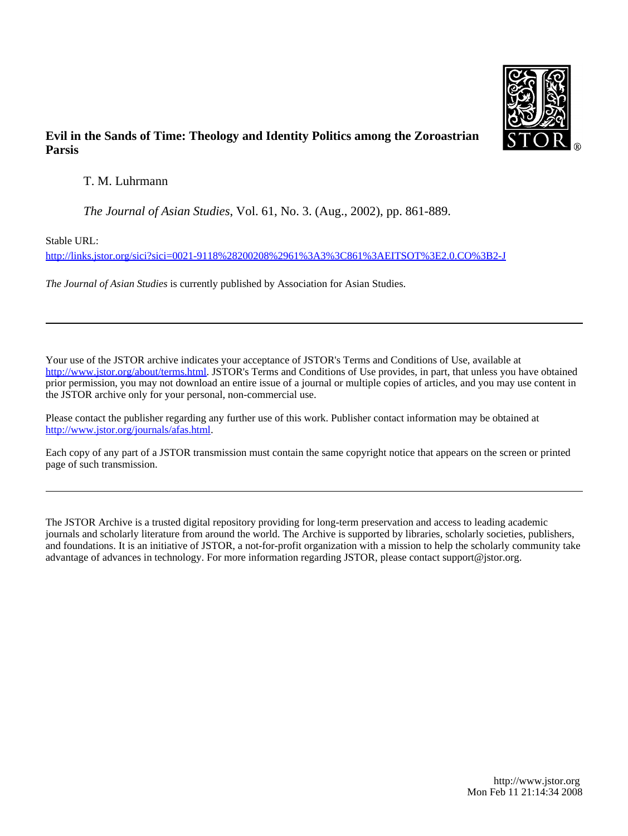

### **Evil in the Sands of Time: Theology and Identity Politics among the Zoroastrian Parsis**

T. M. Luhrmann

*The Journal of Asian Studies*, Vol. 61, No. 3. (Aug., 2002), pp. 861-889.

Stable URL:

<http://links.jstor.org/sici?sici=0021-9118%28200208%2961%3A3%3C861%3AEITSOT%3E2.0.CO%3B2-J>

*The Journal of Asian Studies* is currently published by Association for Asian Studies.

Your use of the JSTOR archive indicates your acceptance of JSTOR's Terms and Conditions of Use, available at [http://www.jstor.org/about/terms.html.](http://www.jstor.org/about/terms.html) JSTOR's Terms and Conditions of Use provides, in part, that unless you have obtained prior permission, you may not download an entire issue of a journal or multiple copies of articles, and you may use content in the JSTOR archive only for your personal, non-commercial use.

Please contact the publisher regarding any further use of this work. Publisher contact information may be obtained at [http://www.jstor.org/journals/afas.html.](http://www.jstor.org/journals/afas.html)

Each copy of any part of a JSTOR transmission must contain the same copyright notice that appears on the screen or printed page of such transmission.

The JSTOR Archive is a trusted digital repository providing for long-term preservation and access to leading academic journals and scholarly literature from around the world. The Archive is supported by libraries, scholarly societies, publishers, and foundations. It is an initiative of JSTOR, a not-for-profit organization with a mission to help the scholarly community take advantage of advances in technology. For more information regarding JSTOR, please contact support@jstor.org.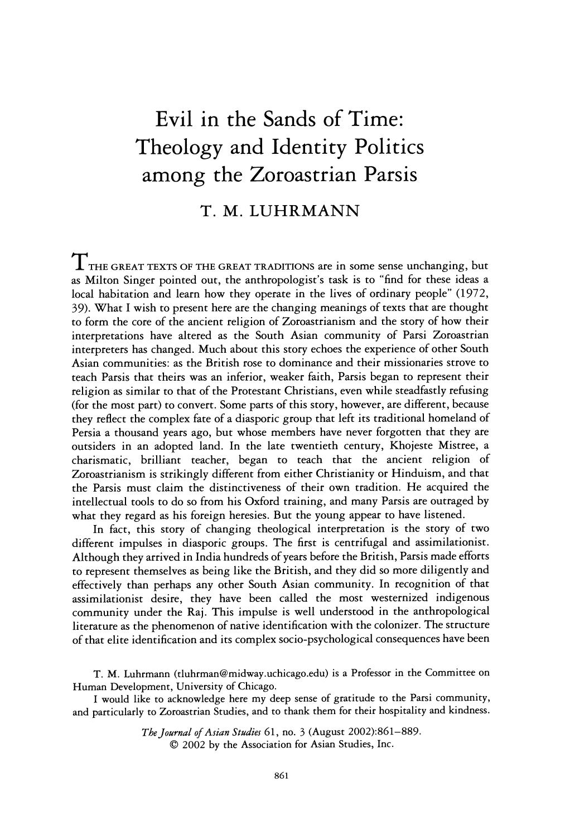# Evil in the Sands of Time: Theology and Identity Politics among the Zoroastrian Parsis

# T. M. LUHRMANN

 $\prod_{i=1}^n T_i$  (The GREAT THE GREAT TRADITIONS are in some sense unchanging, but as Milton Singer pointed out, the anthropologist's task is to "find for these ideas a local habitation and learn how they operate in the lives of ordinary people" (1972, 39). What I wish to present here are the changing meanings of texts that are thought to form the core of the ancient religion of Zoroastrianism and the story of how their interpretations have altered as the South Asian community of Parsi Zoroastrian interpreters has changed. Much about this story echoes the experience of other South Asian communities: as the British rose to dominance and their missionaries strove to teach Parsis that theirs was an inferior, weaker faith, Parsis began to represent their religion as similar to that of the Protestant Christians, even while steadfastly refusing (for the most part) to convert. Some parts of this story, however, are different, because they reflect the complex fate of a diasporic group that left its traditional homeland of Persia a thousand years ago, but whose members have never forgotten that they are outsiders in an adopted land. In the late twentieth century, Khojeste Mistree, a charismatic, brilliant teacher, began to teach that the ancient religion of Zoroastrianism is strikingly different from either Christianity or Hinduism, and that the Parsis must claim the distinctiveness of their own tradition. He acquired the intellectual tools to do so from his Oxford training, and many Parsis are outraged by what they regard as his foreign heresies. But the young appear to have listened.

In fact, this story of changing theological interpretation is the story of two different impulses in diasporic groups. The first is centrifugal and assimilationist. Although they arrived in India hundreds of years before the British, Parsis made efforts to represent themselves as being like the British, and they did so more diligently and effectively than perhaps any other South Asian community. In recognition of that assimilationist desire, they have been called the most westernized indigenous community under the Raj. This impulse is well understood in the anthropological literature as the phenomenon of native identification with the colonizer. The structure of that elite identification and its complex socio-psychological consequences have been

T. M. Luhrmann **(tluhrman@midway.uchicago.edu)** is a Professor in the Committee on Human Development, University of Chicago.

I would like to acknowledge here my deep sense of gratitude to the Parsi community, and particularly to Zoroastrian Studies, and to thank them for their hospitality and kindness.

> *The Journal of Asian Studies* 61, no. *3* (August 2002):861-889. O 2002 by the Association for Asian Studies, Inc.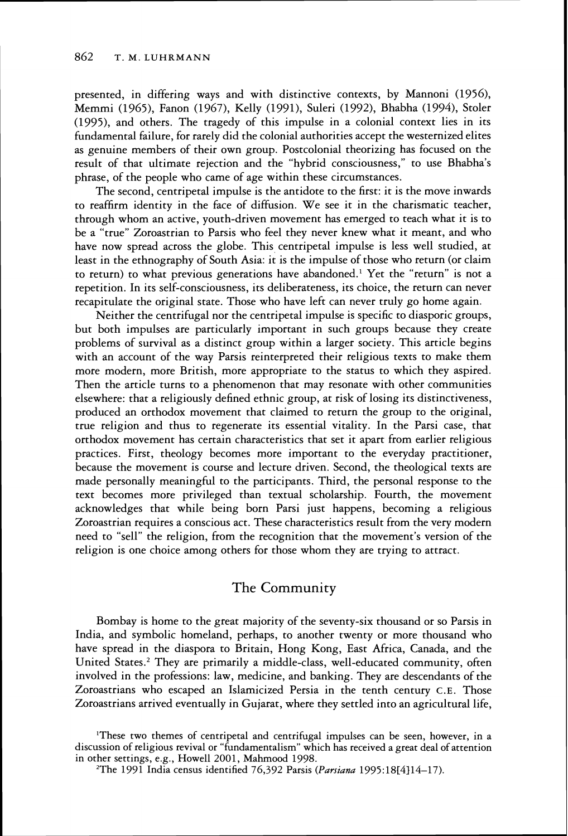presented, in differing ways and with distinctive contexts, by Mannoni (1956), Memmi (1965), Fanon (1967), Kelly (1991), Suleri (1992), Bhabha (1994), Stoler (1995), and others. The tragedy of this impulse in a colonial context lies in its fundamental failure, for rarely did the colonial authorities accept the westernized elites as genuine members of their own group. Postcolonial theorizing has focused on the result of that ultimate rejection and the "hybrid consciousness," to use Bhabha's phrase, of the people who came of age within these circumstances.

The second, centripetal impulse is the antidote to the first: it is the move inwards to reaffirm identity in the face of diffusion. We see it in the charismatic teacher, through whom an active, youth-driven movement has emerged to teach what it is to be a "true" Zoroastrian to Parsis who feel they never knew what it meant, and who have now spread across the globe. This centripetal impulse is less well studied, at least in the ethnography of South Asia: it is the impulse of those who return (or claim to return) to what previous generations have abandoned.' Yet the "return" is not a repetition. In its self-consciousness, its deliberateness, its choice, the return can never recapitulate the original state. Those who have left can never truly go home again.

Neither the centrifugal nor the centripetal impulse is specific to diasporic groups, but both impulses are particularly important in such groups because they create problems of survival as a distinct group within a larger society. This article begins with an account of the way Parsis reinterpreted their religious texts to make them more modern, more British, more appropriate to the status to which they aspired. Then the article turns to a phenomenon that may resonate with other communities elsewhere: that a religiously defined ethnic group, at risk of losing its distinctiveness, produced an orthodox movement that claimed to return the group to the original, true religion and thus to regenerate its essential vitality. In the Parsi case, that orthodox movement has certain characteristics that set it apart from earlier religious practices. First, theology becomes more important to the everyday practitioner, because the movement is course and lecture driven. Second, the theological texts are made personally meaningful to the participants. Third, the personal response to the text becomes more privileged than textual scholarship. Fourth, the movement acknowledges that while being born Parsi just happens, becoming a religious Zoroastrian requires a conscious act. These characteristics result from the very modern need to "sell" the religion, from the recognition that the movement's version of the religion is one choice among others for those whom they are trying to attract.

### The Community

Bombay is home to the great majority of the seventy-six thousand or so Parsis in India, and symbolic homeland, perhaps, to another twenty or more thousand who have spread in the diaspora to Britain, Hong Kong, East Africa, Canada, and the United States.\* They are primarily a middle-class, well-educated community, often involved in the professions: law, medicine, and banking. They are descendants of the Zoroastrians who escaped an Islamicized Persia in the tenth century C.E. Those Zoroastrians arrived eventually in Gujarat, where they settled into an agricultural life,

<sup>&</sup>lt;sup>1</sup>These two themes of centripetal and centrifugal impulses can be seen, however, in a discussion of religious revival or "fundamentalism" which has received a great deal of attention in other settings, e.g., Howell 2001, Mahmood 1998.

<sup>&#</sup>x27;The 1991 India census identified 76,392 Parsis *(Parsiana* 1995:18[4]14-17).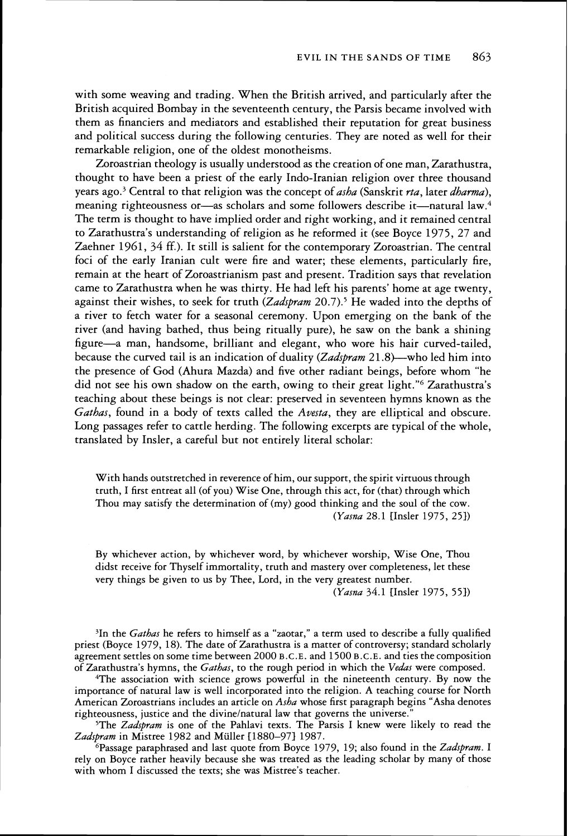with some weaving and trading. When the British arrived, and particularly after the British acquired Bombay in the seventeenth century, the Parsis became involved with them as financiers and mediators and established their reputation for great business and political success during the following centuries. They are noted as well for their remarkable religion, one of the oldest monotheisms.

Zoroastrian theology is usually understood as the creation of one man, Zarathustra, thought to have been a priest of the early Indo-Iranian religion over three thousand years ago.<sup>3</sup> Central to that religion was the concept of *asha* (Sanskrit *rta*, later *dharma*), meaning righteousness or-as scholars and some followers describe it-natural law.<sup>4</sup> The term is thought to have implied order and right working, and it remained central to Zarathustra's understanding of religion as he reformed it (see Boyce 1975, 27 and Zaehner 1961, 34 ff.). It still is salient for the contemporary Zoroastrian. The central foci of the early Iranian cult were fire and water; these elements, particularly fire, remain at the heart of Zoroastrianism past and present. Tradition says that revelation came to Zarathustra when he was thirty. He had left his parents' home at age twenty, against their wishes, to seek for truth  $(Zadstram 20.7)$ .<sup>5</sup> He waded into the depths of a river to fetch water for a seasonal ceremony. Upon emerging on the bank of the river (and having bathed, thus being ritually pure), he saw on the bank a shining figure-a man, handsome, brilliant and elegant, who wore his hair curved-tailed, because the curved tail is an indication of duality (Zadspram 21.8)-who led him into the presence of God (Ahura Mazda) and five other radiant beings, before whom "he did not see his own shadow on the earth, owing to their great light."6 Zarathustra's teaching about these beings is not clear: preserved in seventeen hymns known as the Gatbas, found in a body of texts called the Avesta, they are elliptical and obscure. Long passages refer to cattle herding. The following excerpts are typical of the whole, translated by Insler, a careful but not entirely literal scholar:

With hands outstretched in reverence of him, our support, the spirit virtuous through truth, I first entreat all (of you) Wise One, through this act, for (that) through which Thou may satisfy the determination of (my) good thinking and the soul of the cow. (Yasna 28.1 [Insler 1975, 251)

By whichever action, by whichever word, by whichever worship, Wise One, Thou didst receive for Thyself immortality, truth and mastery over completeness, let these very things be given to us by Thee, Lord, in the very greatest number.

(Yasna 34.1 [Insler 1975, 551)

<sup>3</sup>In the Gathas he refers to himself as a "zaotar," a term used to describe a fully qualified priest (Boyce 1979, 18). The date of Zarathustra is a matter of controversy; standard scholarly agreement settles on some time between 2000 **B.C.E.**and 1500 **B.C.E.**and ties the composition of Zarathustra's hymns, the Gathas, to the rough period in which the Vedas were composed.

<sup>4</sup>The association with science grows powerful in the nineteenth century. By now the importance of natural law is well incorporated into the religion. A teaching course for North American Zoroastrians includes an article on Asha whose first paragraph begins "Asha denotes" righteousness, justice and the divine/natural law that governs the universe.

<sup>5</sup>The Zadspram is one of the Pahlavi texts. The Parsis I knew were likely to read the Zadspram in Mistree 1982 and Müller [1880-97] 1987.

<sup>6</sup>Passage paraphrased and last quote from Boyce 1979, 19; also found in the Zadspram. I rely on Boyce rather heavily because she was treated as the leading scholar by many of those with whom I discussed the texts; she was Mistree's teacher.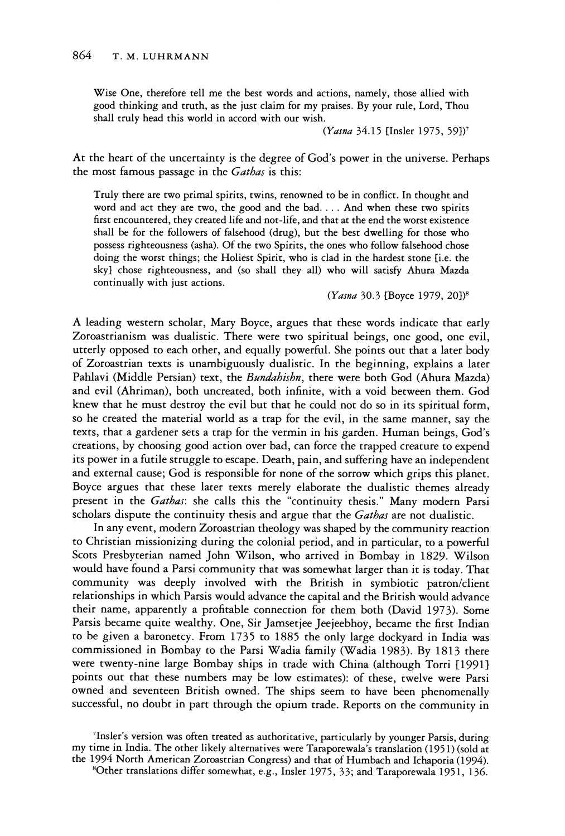#### 864 T. M. LUHRMANN

Wise One, therefore tell me the best words and actions, namely, those allied with good thinking and truth, as the just claim for my praises. By your rule, Lord, Thou shall truly head this world in accord with our wish.

(Yasna 34.15 [Insler 1975, 59])<sup>7</sup>

At the heart of the uncertainty is the degree of God's power in the universe. Perhaps the most famous passage in the *Gathas* is this:

Truly there are two primal spirits, twins, renowned to be in conflict. In thought and word and act they are two, the good and the bad. . . . And when these two spirits first encountered, they created life and not-life, and that at the end the worst existence shall be for the followers of falsehood (drug), but the best dwelling for those who possess righteousness (asha). Of the two Spirits, the ones who follow falsehood chose doing the worst things; the Holiest Spirit, who is clad in the hardest stone [i.e. the sky] chose righteousness, and (so shall they all) who will satisfy Ahura Mazda continually with just actions.

(Yasna 30.3 [Boyce 1979, 20])<sup>8</sup>

A leading western scholar, Mary Boyce, argues that these words indicate that early Zoroastrianism was dualistic. There were two spiritual beings, one good, one evil, utterly opposed to each other, and equally powerful. She points out that a later body of Zoroastrian texts is unambiguously dualistic. In the beginning, explains a later Pahlavi (Middle Persian) text, the *Bundahishn,* there were both God (Ahura Mazda) and evil (Ahriman), both uncreated, both infinite, with a void between them. God knew that he must destroy the evil but that he could not do so in its spiritual form, so he created the material world as a trap for the evil, in the same manner, say the texts, that a gardener sets a trap for the vermin in his garden. Human beings, God's creations, by choosing good action over bad, can force the trapped creature to expend its power in a futile struggle to escape. Death, pain, and suffering have an independent and external cause; God is responsible for none of the sorrow which grips this planet. Boyce argues that these later texts merely elaborate the dualistic themes already present in the *Gathas:* she calls this the "continuity thesis." Many modern Parsi scholars dispute the continuity thesis and argue that the *Gathas* are not dualistic.

In any event, modern Zoroastrian theology was shaped by the community reaction to Christian missionizing during the colonial period, and in particular, to a powerful Scots Presbyterian named John Wilson, who arrived in Bombay in 1829. Wilson would have found a Parsi community that was somewhat larger than it is today. That community was deeply involved with the British in symbiotic patron/client relationships in which Parsis would advance the capital and the British would advance their name, apparently a profitable connection for them both (David 1973). Some Parsis became quite wealthy. One, Sir Jamsetjee Jeejeebhoy, became the first Indian to be given a baronetcy. From 1735 to 1885 the only large dockyard in India was commissioned in Bombay to the Parsi Wadia family (Wadia 1983). By 1813 there were twenty-nine large Bombay ships in trade with China (although Torri 119917 points out that these numbers may be low estimates): of these, twelve were Parsi owned and seventeen British owned. The ships seem to have been phenomenally successful, no doubt in part through the opium trade. Reports on the community in

'Insler's version was often treated as authoritative, particularly by younger Parsis, during my time in India. The other likely alternatives were Taraporewala's translation (1951) (sold at the 1994 North American Zoroastrian Congress) and that of Humbach and Ichaporia (1994). <sup>8</sup>Other translations differ somewhat, e.g., Insler 1975, 33; and Taraporewala 1951, 136.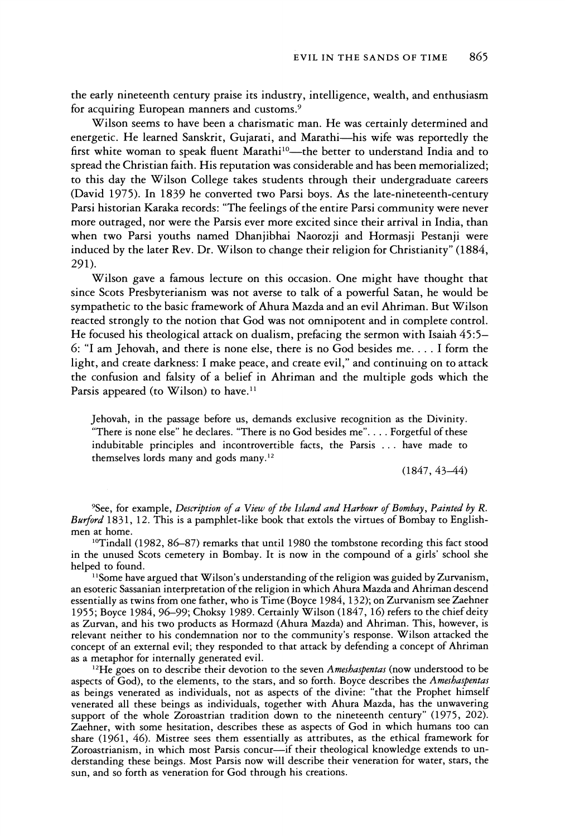the early nineteenth century praise its industry, intelligence, wealth, and enthusiasm for acquiring European manners and customs.'

Wilson seems to have been a charismatic man. He was certainly determined and energetic. He learned Sanskrit, Gujarati, and Marathi-his wife was reportedly the first white woman to speak fluent Marathi<sup>10</sup>-the better to understand India and to spread the Christian faith. His reputation was considerable and has been memorialized; to this day the Wilson College takes students through their undergraduate careers (David 1975). In 1839 he converted two Parsi boys. As the late-nineteenth-century Parsi historian Karaka records: "The feelings of the entire Parsi community were never more outraged, nor were the Parsis ever more excited since their arrival in India, than when two Parsi youths named Dhanjibhai Naorozji and Hormasji Pestanji were induced by the later Rev. Dr. Wilson to change their religion for Christianity" (1884, 291).

Wilson gave a famous lecture on this occasion. One might have thought that since Scots Presbyterianism was not averse to talk of a powerful Satan, he would be sympathetic to the basic framework of Ahura Mazda and an evil Ahriman. But Wilson reacted strongly to the notion that God was not omnipotent and in complete control. He focused his theological attack on dualism, prefacing the sermon with Isaiah 45:5- 6: "I am Jehovah, and there is none else, there is no God besides me. . . . I form the light, and create darkness: I make peace, and create evil," and continuing on to attack the confusion and falsity of a belief in Ahriman and the multiple gods which the Parsis appeared (to Wilson) to have.<sup>11</sup>

Jehovah, in the passage before us, demands exclusive recognition as the Divinity. "There is none else" he declares. "There is no God besides me". . . . Forgetful of these indubitable principles and incontrovertible facts, the Parsis . . . have made to themselves lords many and gods many.12

(1847, 43-44)

%ee, for example, *Description of a* **View** *of the Island and Harbour of Bombay, Painted by R. Burford* 1831, 12. This is a pamphlet-like book that extols the virtues of Bombay to Englishmen at home.

 $10$ Tindall (1982, 86–87) remarks that until 1980 the tombstone recording this fact stood in the unused Scots cemetery in Bombay. It is now in the compound of a girls' school she helped to found.

<sup>11</sup>Some have argued that Wilson's understanding of the religion was guided by Zurvanism, an esoteric Sassanian interpretation of the religion in which Ahura Mazda and Ahriman descend essentially as twins from one father, who is Time (Boyce 1984, 132); on Zurvanism see Zaehner 1955; Boyce 1984, 96-99; Choksy 1989. Certainly Wilson (1847, 16) refers to the chief deity as Zurvan, and his two products as Hormazd (Ahura Mazda) and Ahriman. This, however, is relevant neither to his condemnation nor to the community's response. Wilson attacked the concept of an external evil; they responded to that attack by defending a concept of Ahriman as a metaphor for internally generated evil.

12He goes on to describe their devotion to the seven *Ameshaspentas* (now understood to be aspects of God), to the elements, to the stars, and so forth. Boyce describes the *Ameshaspentas*  as beings venerated as individuals, not as aspects of the divine: "that the Prophet himself venerated all these beings as individuals, together with Ahura Mazda, has the unwavering support of the whole Zoroastrian tradition down to the nineteenth century" (1975, 202). Zaehner, with some hesitation, describes these as aspects of God in which humans too can share (1961, 46). Mistree sees them essentially as attributes, as the ethical framework for Zoroastrianism, in which most Parsis concur-if their theological knowledge extends to understanding these beings. Most Parsis now will describe their veneration for water, stars, the sun, and so forth as veneration for God through his creations.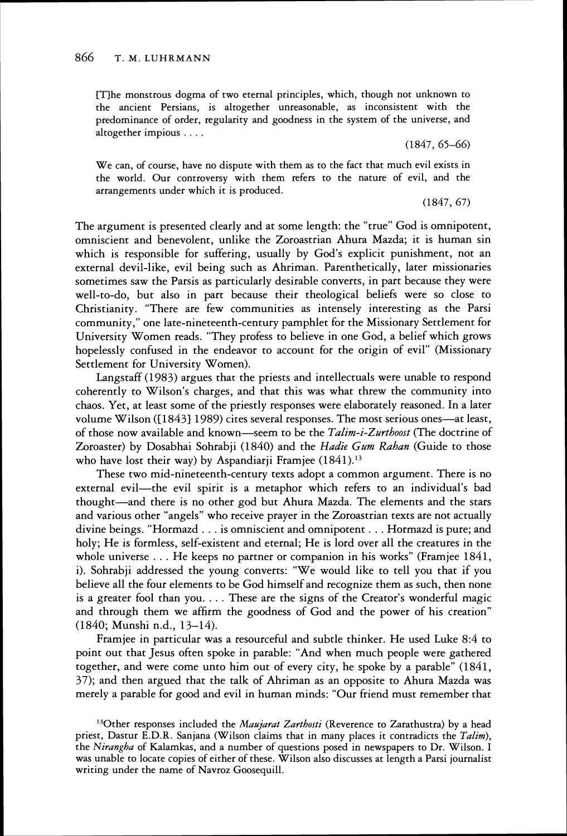[Tlhe monstrous dogma of two eternal principles, which, though not unknown to the ancient Persians, is altogether unreasonable, as inconsistent with the predominance of order, regularity and goodness in the system of the universe, and altogether impious . . . .

(1847, 65-66)

We can, of course, have no dispute with them as to the fact that much evil exists in the world. Our controversv with them refers to the nature of evil, and the arrangements under which it is produced.

(1847, 67)

The argument is presented clearly and at some length: the "true" God is omnipotent, omniscient and benevolent, unlike the Zoroastrian Ahura Mazda; it is human sin which is responsible for suffering, usually by God's explicit punishment, not an external devil-like, evil being such as Ahriman. Parenthetically, later missionaries sometimes saw the Parsis as particularly desirable converts, in part because they were well-to-do, but also in part because their theological beliefs were so close to Christianity. "There are few communities as intensely interesting as the Parsi community," one late-nineteenth-century pamphlet for the Missionary Settlement for University Women reads. "They profess to believe in one God, a belief which grows hopelessly confused in the endeavor to account for the origin of evil" (Missionary Settlement for University Women).

Langstaff (1983) argues that the priests and intellectuals were unable to respond coherently to Wilson's charges, and that this was what threw the community into chaos. Yet, at least some of the priestly responses were elaborately reasoned. In a later volume Wilson ([1843] 1989) cites several responses. The most serious ones-at least, of those now available and known-seem to be the *Talim-i-Zurthoost* (The doctrine of Zoroaster) by Dosabhai Sohrabji (1840) and the *Hadie Gum Rahan* (Guide to those who have lost their way) by Aspandiarji Framjee (1841).<sup>13</sup>

These two mid-nineteenth-century texts adopt a common argument. There is no external evil-the evil spirit is a metaphor which refers to an individual's bad thought-and there is no other god but Ahura Mazda. The elements and the stars and various other "angels" who receive prayer in the Zoroastrian texts are not actually divine beings. "Hormazd . . . is omniscient and omnipotent . . . Hormazd is pure; and holy; He is formless, self-existent and eternal; He is lord over all the creatures in the whole universe . . . He keeps no partner or companion in his works" (Framjee 1841, i). Sohrabji addressed the young converts: "We would like to tell you that if you believe all the four elements to be God himself and recognize them as such, then none is a greater fool than you. . . . These are the signs of the Creator's wonderful magic and through them we affirm the goodness of God and the power of his creation" (1840; Munshi n.d., 13-14).

Framjee in particular was a resourceful and subtle thinker. He used Luke 8:4 to point out that Jesus often spoke in parable: "And when much people were gathered together, and were come unto him out of every city, he spoke by a parable" (1841, 37); and then argued that the talk of Ahriman as an opposite to Ahura Mazda was merely a parable for good and evil in human minds: "Our friend must remember that

<sup>&</sup>lt;sup>13</sup>Other responses included the *Maujarat Zarthosti* (Reverence to Zarathustra) by a head priest, Dastur E.D.R. Sanjana (Wilson claims that in many places it contradicts the Talim), the Nirangha of Kalamkas, and a number of questions posed in newspapers to Dr. Wilson. I was unable to locate copies of either of these. Wilson also discusses at length a Parsi journalist writing under the name of Navroz Goosequill.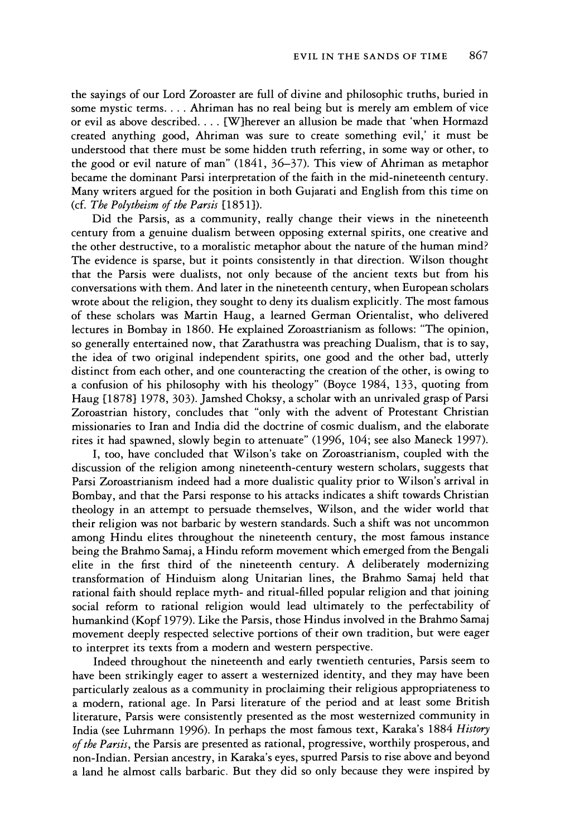the sayings of our Lord Zoroaster are full of divine and philosophic truths, buried in some mystic terms. . . . Ahriman has no real being but is merely am emblem of vice or evil as above described. . . . {Wlherever an allusion be made that 'when Hormazd created anything good, Ahriman was sure to create something evil,' it must be understood that there must be some hidden truth referring, in some way or other, to the good or evil nature of man" (1841, 36-37). This view of Ahriman as metaphor became the dominant Parsi interpretation of the faith in the mid-nineteenth century. Many writers argued for the position in both Gujarati and English from this time on (cf. *The Polytheism* of *the Parsis* 1185 1)).

Did the Parsis, as a community, really change their views in the nineteenth century from a genuine dualism between opposing external spirits, one creative and the other destructive, to a moralistic metaphor about the nature of the human mind? The evidence is sparse, but it points consistently in that direction. Wilson thought that the Parsis were dualists, not only because of the ancient texts but from his conversations with them. And later in the nineteenth century, when European scholars wrote about the religion, they sought to deny its dualism explicitly. The most famous of these scholars was Martin Haug, a learned German Orientalist, who delivered lectures in Bombay in 1860. He explained Zoroastrianism as follows: "The opinion, so generally entertained now, that Zarathustra was preaching Dualism, that is to say, the idea of two original independent spirits, one good and the other bad, utterly distinct from each other, and one counteracting the creation of the other, is owing to a confusion of his philosophy with his theology" (Boyce 1984, 133, quoting from Haug 11878) 1978, 303). Jamshed Choksy, a scholar with an unrivaled grasp of Parsi Zoroastrian history, concludes that "only with the advent of Protestant Christian missionaries to Iran and India did the doctrine of cosmic dualism, and the elaborate rites it had spawned, slowly begin to attenuate" (1996, 104; see also Maneck 1997).

I, too, have concluded that Wilson's take on Zoroastrianism, coupled with the discussion of the religion among nineteenth-century western scholars, suggests that Parsi Zoroastrianism indeed had a more dualistic quality prior to Wilson's arrival in Bombay, and that the Parsi response to his attacks indicates a shift towards Christian theology in an attempt to persuade themselves, Wilson, and the wider world that their religion was not barbaric by western standards. Such a shift was not uncommon among Hindu elites throughout the nineteenth century, the most famous instance being the Brahmo Samaj, a Hindu reform movement which emerged from the Bengali elite in the first third of the nineteenth century. A deliberately modernizing transformation of Hinduism along Unitarian lines, the Brahmo Samaj held that rational faith should replace myth- and ritual-filled popular religion and that joining social reform to rational religion would lead ultimately to the perfectability of humankind (Kopf 1979). Like the Parsis, those Hindus involved in the Brahmo Samaj movement deeply respected selective portions of their own tradition, but were eager to interpret its texts from a modern and western perspective.

Indeed throughout the nineteenth and early twentieth centuries, Parsis seem to have been strikingly eager to assert a westernized identity, and they may have been particularly zealous as a community in proclaiming their religious appropriateness to a modern, rational age. In Parsi literature of the period and at least some British literature, Parsis were consistently presented as the most westernized community in India (see Luhrmann 1996). In perhaps the most famous text, Karaka's 1884 *History of the Parsis,* the Parsis are presented as rational, progressive, worthily prosperous, and non-Indian. Persian ancestry, in Karaka's eyes, spurred Parsis to rise above and beyond a land he almost calls barbaric. But they did so only because they were inspired by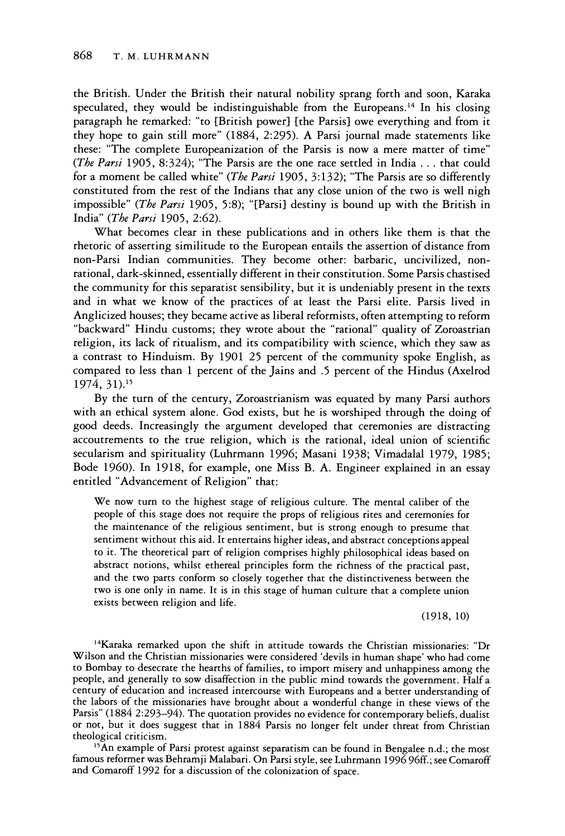the British. Under the British their natural nobility sprang forth and soon, Karaka speculated, they would be indistinguishable from the Europeans.<sup>14</sup> In his closing paragraph he remarked: "to [British power} [the Parsis} owe everything and from it they hope to gain still more" (1884, 2:295). A Parsi journal made statements like these: "The complete Europeanization of the Parsis is now a mere matter of time" (The *Parsi* 1905, 8:324); "The Parsis are the one race settled in India . . . that could for a moment be called white" (The *Parsi* 1905, 3:132); "The Parsis are so differently constituted from the rest of the Indians that any close union of the two is well nigh impossible" (The Parsi 1905, 5:8); "[Parsi] destiny is bound up with the British in India" (The *Parsi* 1905, 2:62).

What becomes clear in these publications and in others like them is that the rhetoric of asserting similitude to the European entails the assertion of distance from non-Parsi Indian communities. They become other: barbaric, uncivilized, nonrational, dark-skinned, essentially different in their constitution. Some Parsis chastised the community for this separatist sensibility, but it is undeniably present in the texts and in what we know of the practices of at least the Parsi elite. Parsis lived in Anglicized houses; they became active as liberal reformists, often attempting to reform "backward" Hindu customs; they wrote about the "rational" quality of Zoroastrian religion, its lack of ritualism, and its compatibility with science, which they saw as a contrast to Hinduism. By 1901 25 percent of the community spoke English, as compared to less than 1 percent of the Jains and .5 percent of the Hindus (Axelrod 1974, 31).15

By the turn of the century, Zoroastrianism was equated by many Parsi authors with an ethical system alone. God exists, but he is worshiped through the doing of good deeds. Increasingly the argument developed that ceremonies are distracting accoutrements to the true religion, which is the rational, ideal union of scientific secularism and spirituality (Luhrmann 1996; Masani 1938; Vimadalal 1979, 1985; Bode 1960). In 1918, for example, one Miss B. A. Engineer explained in an essay entitled "Advancement of Religion" that:

We now turn to the highest stage of religious culture. The mental caliber of the people of this stage does not require the props of religious rites and ceremonies for the maintenance of the religious sentiment, but is strong enough to presume that sentiment without this aid. It entertains higher ideas, and abstract conceptions appeal to it. The theoretical part of religion comprises highly philosophical ideas based on abstract notions, whilst ethereal principles form the richness of the practical past, and the two parts conform so closely together that the distinctiveness between the two is one only in name. It is in this stage of human culture that a complete union exists between religion and life.

(1918, 10)

<sup>14</sup>Karaka remarked upon the shift in attitude towards the Christian missionaries: "Dr Wilson and the Christian missionaries were considered 'devils in human shape' who had come to Bombay to desecrate the hearths of families, to import misery and unhappiness among the people, and generally to sow disaffection in the public mind towards the government. Half a century of education and increased intercourse with Europeans and a better understanding of the labors of the missionaries have brought about a wonderful change in these views of the Parsis" (1884 2:293-94). The quotation provides no evidence for contemporary beliefs, dualist or not, but it does suggest that in 1884 Parsis no longer felt under threat from Christian theological criticism.

<sup>15</sup>An example of Parsi protest against separatism can be found in Bengalee n.d.; the most famous reformer was Behramji Malabari. On Parsi style, see Luhrmann 1996 96ff.; see Comaroff and Comaroff 1992 for a discussion of the colonization of space.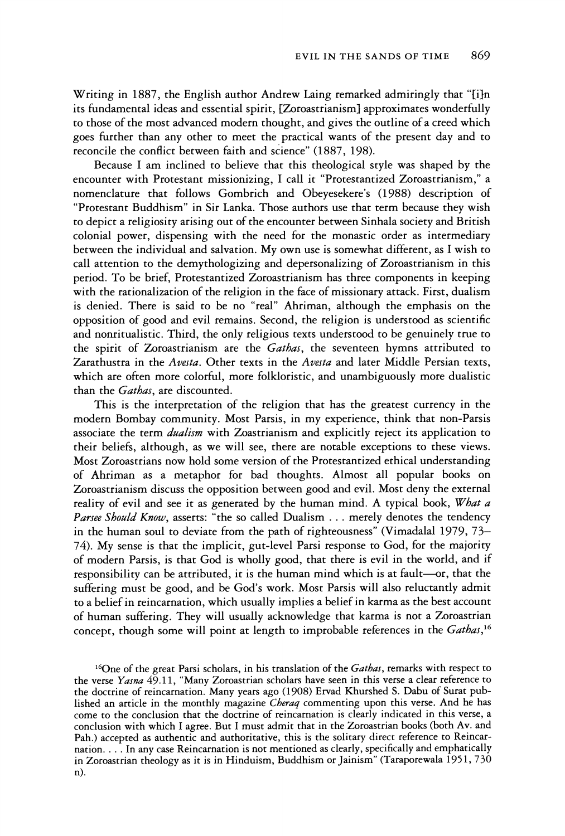Writing in 1887, the English author Andrew Laing remarked admiringly that "[iln its fundamental ideas and essential spirit, [Zoroastrianism] approximates wonderfully to those of the most advanced modern thought, and gives the outline of a creed which goes further than any other to meet the practical wants of the present day and to reconcile the conflict between faith and science" (1887, 198).

Because I am inclined to believe that this theological style was shaped by the encounter with Protestant missionizing, I call it "Protestantized Zoroastrianism," a nomenclature that follows Gombrich and Obeyesekere's (1988) description of "Protestant Buddhism" in Sir Lanka. Those authors use that term because they wish to depict a religiosity arising out of the encounter between Sinhala society and British colonial power, dispensing with the need for the monastic order as intermediary between the individual and salvation. My own use is somewhat different, as I wish to call attention to the demythologizing and depersonalizing of Zoroastrianism in this period. To be brief, Protestantized Zoroastrianism has three components in keeping with the rationalization of the religion in the face of missionary attack. First, dualism is denied. There is said to be no "real" Ahriman, although the emphasis on the opposition of good and evil remains. Second, the religion is understood as scientific and nonritualistic. Third, the only religious texts understood to be genuinely true to the spirit of Zoroastrianism are the Gathas, the seventeen hymns attributed to Zarathustra in the Avesta. Other texts in the Avesta and later Middle Persian texts, which are often more colorful, more folkloristic, and unambiguously more dualistic than the Gathas, are discounted.

Zoroastrianism discuss the opposition between good and evil. Most deny the external This is the interpretation of the religion that has the greatest currency in the modern Bombay community. Most Parsis, in my experience, think that non-Parsis associate the term *dualism* with Zoastrianism and explicitly reject its application to their beliefs, although, as we will see, there are notable exceptions to these views. - Most Zoroastrians now hold some version of the Protestantized ethical understanding of Ahriman as a metaphor for bad thoughts. Almost all popular books on reality of evil and see it as generated by the human mind. **A** typical book, What a Parsee Should *Know*, asserts: "the so called Dualism . . . merely denotes the tendency in the human soul to deviate from the path of righteousness" (Vimadalal 1979, 73- 74). My sense is that the implicit, gut-level Parsi response to God, for the majority of modern Parsis, is that God is wholly good, that there is evil in the world, and if responsibility can be attributed, it is the human mind which is at fault--or, that the suffering must be good, and be God's work. Most Parsis will also reluctantly admit to a belief in reincarnation, which usually implies a belief in karma as the best account of human suffering. They will usually acknowledge that karma is not a Zoroastrian concept, though some will point at length to improbable references in the  $Gathas$ ,<sup>16</sup>

<sup>160</sup>ne of the great Parsi scholars, in his translation of the *Gathas,* remarks with respect to the verse *Yasna* 49.1 1, "Many Zoroastrian scholars have seen in this verse a clear reference to the doctrine of reincarnation. Many years ago (1908) Ervad Khurshed S. Dabu of Surat published an article in the monthly magazine *Cheraq* commenting upon this verse. And he has come to the conclusion that the doctrine of reincarnation is clearly indicated in this verse, a conclusion with which I agree. But I must admit that in the Zoroastrian books (both Av. and Pah.) accepted as authentic and authoritative, this is the solitary direct reference to Reincarnation. . . . In any case Reincarnation is not mentioned as clearly, specifically and emphatically in Zoroastrian theology as it is in Hinduism, Buddhism or Jainism" (Taraporewala 1951, 730 n).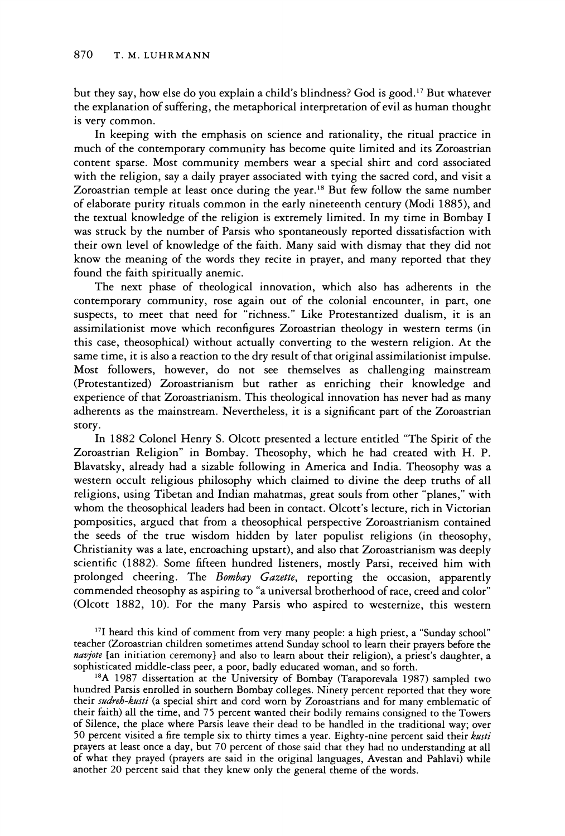but they say, how else do you explain a child's blindness? God is good.'' But whatever the explanation of suffering, the metaphorical interpretation of evil as human thought is very common.

In keeping with the emphasis on science and rationality, the ritual practice in much of the contemporary community has become quite limited and its Zoroastrian content sparse. Most community members wear a special shirt and cord associated with the religion, say a daily prayer associated with tying the sacred cord, and visit a Zoroastrian temple at least once during the year.<sup>18</sup> But few follow the same number of elaborate purity rituals common in the early nineteenth century (Modi 1885), and the textual knowledge of the religion is extremely limited. In my time in Bombay I was struck by the number of Parsis who spontaneously reported dissatisfaction with their own level of knowledge of the faith. Many said with dismay that they did not know the meaning of the words they recite in prayer, and many reported that they found the faith spiritually anemic.

The next phase of theological innovation, which also has adherents in the contemporary community, rose again out of the colonial encounter, in part, one suspects, to meet that need for "richness." Like Protestantized dualism, it is an assimilationist move which reconfigures Zoroastrian theology in western terms (in this case, theosophical) without actually converting to the western religion. At the same time, it is also a reaction to the dry result of that original assimilationist impulse. Most followers, however, do not see themselves as challenging mainstream (Protestantized) Zoroastrianism but rather as enriching their knowledge and experience of that Zoroastrianism. This theological innovation has never had as many adherents as the mainstream. Nevertheless, it is a significant part of the Zoroastrian story.

In 1882 Colonel Henry S. Olcott presented a lecture entitled "The Spirit of the Zoroastrian Religion" in Bombay. Theosophy, which he had created with H. P. Blavatsky, already had a sizable following in America and India. Theosophy was a western occult religious philosophy which claimed to divine the deep truths of all religions, using Tibetan and Indian mahatmas, great souls from other "planes," with whom the theosophical leaders had been in contact. Olcott's lecture, rich in Victorian pomposities, argued that from a theosophical perspective Zoroastrianism contained the seeds of the true wisdom hidden by later populist religions (in theosophy, Christianity was a late, encroaching upstart), and also that Zoroastrianism was deeply scientific (1882). Some fifteen hundred listeners, mostly Parsi, received him with prolonged cheering. The *Bombay Gazette,* reporting the occasion, apparently commended theosophy as aspiring to "a universal brotherhood of race, creed and color" (Olcott 1882, 10). For the many Parsis who aspired to westernize, this western

<sup>17</sup>I heard this kind of comment from very many people: a high priest, a "Sunday school" teacher (Zoroastrian children sometimes attend Sunday school to learn their prayers before the *navjote* [an initiation ceremony] and also to learn about their religion), a priest's daughter, a sophisticated middle-class peer, a poor, badly educated woman, and so forth.

<sup>18</sup>A 1987 dissertation at the University of Bombay (Taraporevala 1987) sampled two hundred Parsis enrolled in southern Bombay colleges. Ninety percent reported that they wore their *szldreb-kusti* (a special shirt and cord worn by Zoroastrians and for many emblematic of their faith) all the time, and *75* percent wanted their bodily remains consigned to the Towers of Silence, the place where Parsis leave their dead to be handled in the traditional way; over *50* percent visited a fire temple six to thirty times a year. Eighty-nine percent said their *kzlsti*  prayers at least once a day, but *70* percent of those said that they had no understanding at all of what they prayed (prayers are said in the original languages, Avestan and Pahlavi) while another *20* percent said that they knew only the general theme of the words.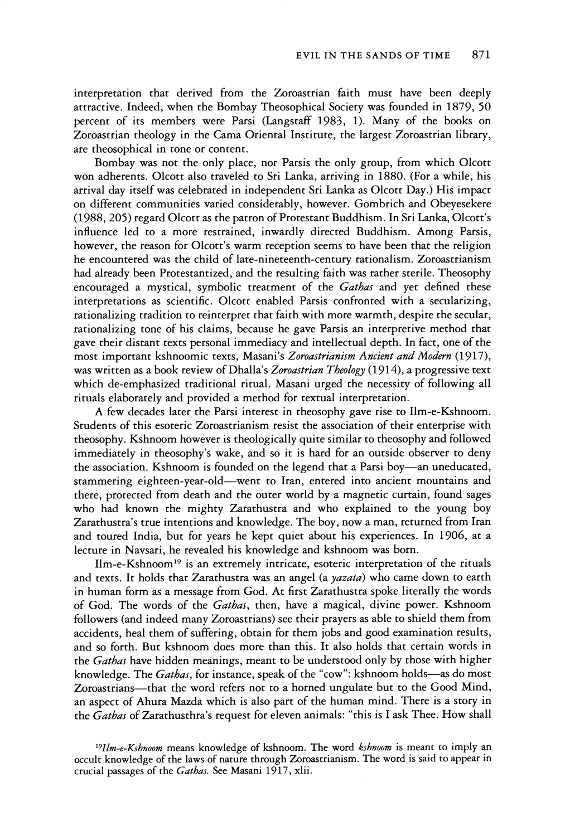interpretation that derived from the Zoroastrian faith must have been deeply attractive. Indeed, when the Bombay Theosophical Society was founded in 1879, 50 percent of its members were Parsi (Langstaff 1983, 1). Many of the books on Zoroastrian theology in the Cama Oriental Institute, the largest Zoroastrian library, are theosophical in tone or content.

Bombay was not the only place, nor Parsis the only group, from which Olcott won adherents. Olcott also traveled to Sri Lanka, arriving in 1880. (For a while, his arrival day itself was celebrated in independent Sri Lanka as Olcott Day.) His impact on different communities varied considerably, however. Gombrich and Obeyesekere (1988, 205) regard Olcott as the patron of Protestant Buddhism. In Sri Lanka, Olcott's influence led to a more restrained, inwardly directed Buddhism. Among Parsis, however, the reason for Olcott's warm reception seems to have been that the religion he encountered was the child of late-nineteenth-century rationalism. Zoroastrianism had already been Protestantized, and the resulting faith was rather sterile. Theosophy encouraged a mystical, symbolic treatment of the *Gathas* and yet defined these interpretations as scientific. Olcott enabled Parsis confronted with a secularizing, rationalizing tradition to reinterpret that faith with more warmth, despite the secular, rationalizing tone of his claims, because he gave Parsis an interpretive method that gave their distant texts personal immediacy and intellectual depth. In fact, one of the most important kshnoomic texts, Masani's *Zoroastrianism Ancient and Modern* (1917), was written as a book review of Dhalla's *Zoroastrian Theology* (1914), a progressive text which de-emphasized traditional ritual. Masani urged the necessity of following all rituals elaborately and provided a method for textual interpretation.

A few decades later the Parsi interest in theosophy gave rise to Ilm-e-Kshnoom. Students of this esoteric Zoroastrianism resist the association of their enterprise with theosophy. Kshnoom however is theologically quite similar to theosophy and followed immediately in theosophy's wake, and so it is hard for an outside observer to deny the association. Kshnoom is founded on the legend that a Parsi boy-an uneducated, stammering eighteen-year-old—went to Iran, entered into ancient mountains and there, protected from death and the outer world by a magnetic curtain, found sages who had known the mighty Zarathustra and who explained to the young boy Zarathustra's true intentions and knowledge. The boy, now a man, returned from Iran and toured India, but for years he kept quiet about his experiences. In 1906, at a lecture in Navsari, he revealed his knowledge and kshnoom was born.

Ilm-e-Kshnoom<sup>19</sup> is an extremely intricate, esoteric interpretation of the rituals and texts. It holds that Zarathustra was an angel (a *yazata)* who came down to earth in human form as a message from God. At first Zarathustra spoke literally the words of God. The words of the *Gathas,* then, have a magical, divine power. Kshnoom followers (and indeed many Zoroastrians) see their prayers as able to shield them from accidents, heal them of suffering, obtain for them jobs and good examination results, and so forth. But kshnoom does more than this. It also holds that certain words in the *Gatbas* have hidden meanings, meant to be understood only by those with higher knowledge. The *Gathas*, for instance, speak of the "cow": kshnoom holds-as do most Zoroastrians-that the word refers not to a horned ungulate but to the Good Mind, an aspect of Ahura Mazda which is also part of the human mind. There is a story in the *Gathas* of Zarathusthra's request for eleven animals: "this is I ask Thee. How shall

<sup>&</sup>lt;sup>19</sup>Ilm-e-Kshnoom means knowledge of kshnoom. The word *kshnoom* is meant to imply an occult knowledge of the laws of nature through Zoroastrianism. The word is said to appear in crucial passages of the *Gathas.* See Masani *19* 17, xlii.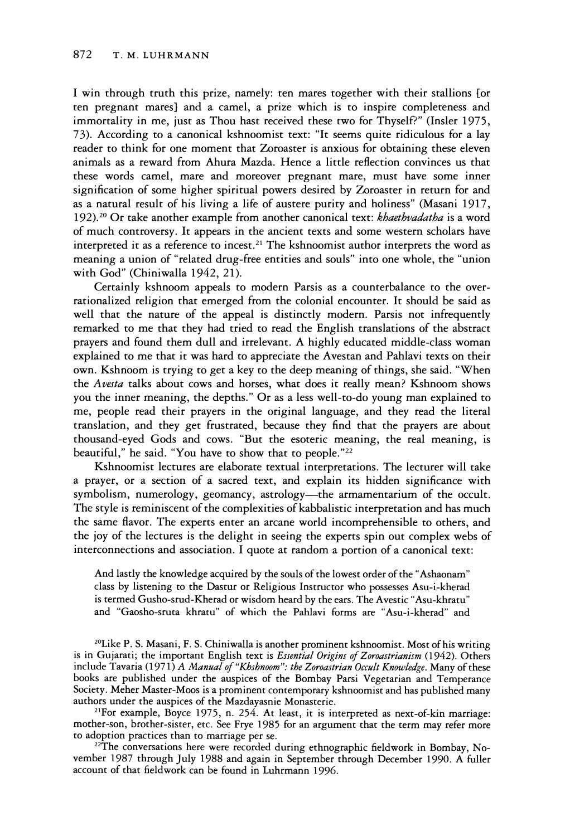I win through truth this prize, namely: ten mares together with their stallions {or ten pregnant mares] and a camel, a prize which is to inspire completeness and immortality in me, just as Thou hast received these two for Thyself?" (Insler 1975, 73). According to a canonical kshnoomist text: "It seems quite ridiculous for a lay reader to think for one moment that Zoroaster is anxious for obtaining these eleven animals as a reward from Ahura Mazda. Hence a little reflection convinces us that these words camel, mare and moreover pregnant mare, must have some inner signification of some higher spiritual powers desired by Zoroaster in return for and as a natural result of his living a life of austere purity and holiness" (Masani 1917, 192).20 Or take another example from another canonical text: *khaethuadatha* is a word of much controversy. It appears in the ancient texts and some western scholars have interpreted it as a reference to incest.<sup>21</sup> The kshnoomist author interprets the word as meaning a union of "related drug-free entities and souls" into one whole, the "union with God" (Chiniwalla 1942, 21).

Certainly kshnoom appeals to modern Parsis as a counterbalance to the overrationalized religion that emerged from the colonial encounter. It should be said as well that the nature of the appeal is distinctly modern. Parsis not infrequently remarked to me that they had tried to read the English translations of the abstract prayers and found them dull and irrelevant. A highly educated middle-class woman explained to me that it was hard to appreciate the Avestan and Pahlavi texts on their own. Kshnoom is trying to get a key to the deep meaning of things, she said. "When the *Auesta* talks about cows and horses, what does it really mean? Kshnoom shows you the inner meaning, the depths." Or as a less well-to-do young man explained to me, people read their prayers in the original language, and they read the literal translation, and they get frustrated, because they find that the prayers are about thousand-eyed Gods and cows. "But the esoteric meaning, the real meaning, is beautiful," he said. "You have to show that to people."<sup>22</sup>

Kshnoomist lectures are elaborate textual interpretations. The lecturer will take a prayer, or a section of a sacred text, and explain its hidden significance with symbolism, numerology, geomancy, astrology-the armamentarium of the occult. The style is reminiscent of the complexities of kabbalistic interpretation and has much the same flavor. The experts enter an arcane world incomprehensible to others, and the joy of the lectures is the delight in seeing the experts spin out complex webs of interconnections and association. I quote at random a portion of a canonical text:

And lastly the knowledge acquired by the souls of the lowest order of the "Ashaonam" class by listening to the Dastur or Religious Instructor who possesses Asu-i-kherad is termed Gusho-srud-Kherad or wisdom heard by the ears. The Avestic "Asu-khratu" and "Gaosho-sruta khratu" of which the Pahlavi forms are "Asu-i-kherad" and

<sup>20</sup>Like P. S. Masani, F. S. Chiniwalla is another prominent kshnoomist. Most of his writing is in Gujarati; the important English text is *Essential Origins of Zoroastrianism* (1942). Others include Tavaria (197 1) A *Manual* of *"Kbshnoom": the Zoroastrian Occult Knowledge.* Many of these books are published under the auspices of the Bombay Parsi Vegetarian and Temperance Society. Meher Master-Moos is a prominent contemporary kshnoomist and has published many authors under the auspices of the Mazdayasnie Monasterie.

21For example, Boyce 1975, n. 254. At least, it is interpreted as next-of-kin marriage: mother-son, brother-sister, etc. See Frye 1985 for an argument that the term may refer more to adoption practices than to marriage per se.

<sup>22</sup>The conversations here were recorded during ethnographic fieldwork in Bombay, November 1987 through July 1988 and again in September through December 1990. A fuller account of that fieldwork can be found in Luhrmann 1996.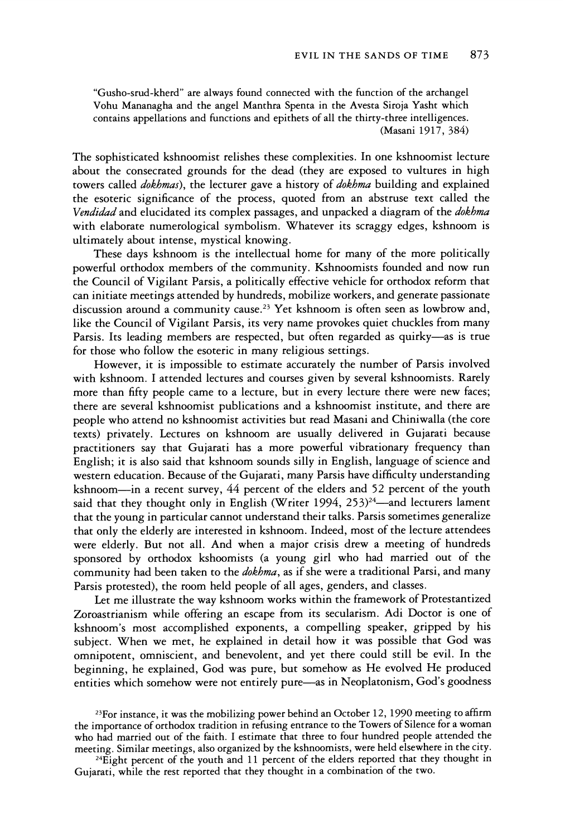"Gusho-srud-kherd" are always found connected with the function of the archangel Vohu Mananagha and the angel Manthra Spenta in the Avesta Siroja Yasht which contains appellations and functions and epithets of all the thirty-three intelligences. (Masani 1917, 384)

The sophisticated kshnoomist relishes these complexities. In one kshnoomist lecture about the consecrated grounds for the dead (they are exposed to vultures in high towers called *dokhmas*), the lecturer gave a history of *dokhma* building and explained the esoteric significance of the process, quoted from an abstruse text called the Vendidad and elucidated its complex passages, and unpacked a diagram of the dokhma with elaborate numerological symbolism. Whatever its scraggy edges, kshnoom is ultimately about intense, mystical knowing.

These days kshnoom is the intellectual home for many of the more politically powerful orthodox members of the community. Kshnoomists founded and now run the Council of Vigilant Parsis, a politically effective vehicle for orthodox reform that can initiate meetings attended by hundreds, mobilize workers, and generate passionate discussion around a community cause.23 Yet kshnoom is often seen as lowbrow and, like the Council of Vigilant Parsis, its very name provokes quiet chuckles from many Parsis. Its leading members are respected, but often regarded as quirky-as is true for those who follow the esoteric in many religious settings.

However, it is impossible to estimate accurately the number of Parsis involved with kshnoom. I attended lectures and courses given by several kshnoomists. Rarely more than fifty people came to a lecture, but in every lecture there were new faces; there are several kshnoomist publications and a kshnoomist institute, and there are people who attend no kshnoomist activities but read Masani and Chiniwalla (the core texts) privately. Lectures on kshnoom are usually delivered in Gujarati because practitioners say that Gujarati has a more powerful vibrationary frequency than English; it is also said that kshnoom sounds silly in English, language of science and western education. Because of the Gujarati, many Parsis have difficulty understanding kshnoom-in a recent survey, 44 percent of the elders and 52 percent of the youth said that they thought only in English (Writer 1994, 253)<sup>24</sup>—and lecturers lament that the young in particular cannot understand their talks. Parsis sometimes generalize that only the elderly are interested in kshnoom. Indeed, most of the lecture attendees were elderly. But not all. And when a major crisis drew a meeting of hundreds sponsored by orthodox kshoomists (a young girl who had married out of the community had been taken to the *dokhma*, as if she were a traditional Parsi, and many Parsis protested), the room held people of all ages, genders, and classes.

Let me illustrate the way kshnoom works within the framework of Protestantized Zoroastrianism while offering an escape from its secularism. Adi Doctor is one of kshnoom's most accomplished exponents, a compelling speaker, gripped by his subject. When we met, he explained in detail how it was possible that God was omnipotent, omniscient, and benevolent, and yet there could still be evil. In the beginning, he explained, God was pure, but somehow as He evolved He produced entities which somehow were not entirely pure-as in Neoplatonism, God's goodness

<sup>24</sup>Eight percent of the youth and 11 percent of the elders reported that they thought in Gujarati, while the rest reported that they thought in a combination of the two.

<sup>&</sup>lt;sup>23</sup>For instance, it was the mobilizing power behind an October 12, 1990 meeting to affirm the importance of orthodox tradition in refusing entrance to the Towers of Silence for a woman who had married out of the faith. I estimate that three to four hundred people attended the meeting. Similar meetings, also organized by the kshnoomists, were held elsewhere in the city.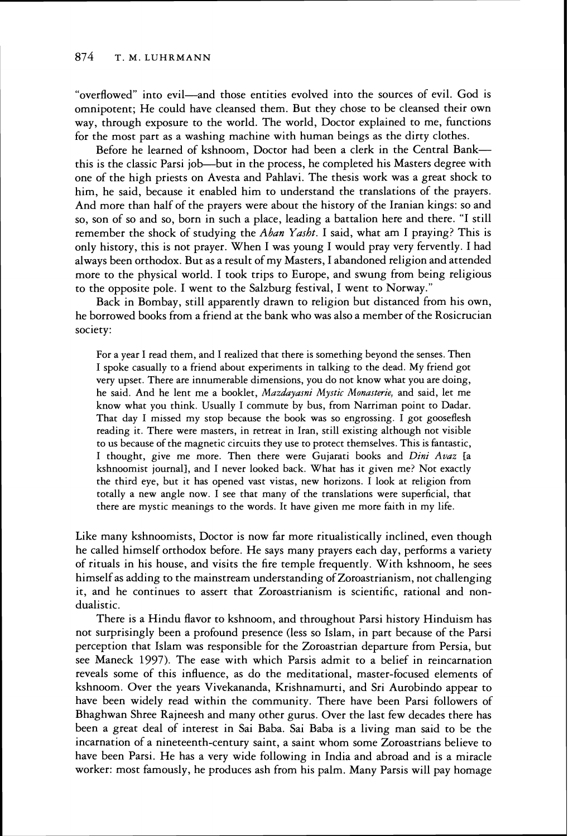"overflowed" into evil—and those entities evolved into the sources of evil. God is omnipotent; He could have cleansed them. But they chose to be cleansed their own way, through exposure to the world. The world, Doctor explained to me, functions for the most part as a washing machine with human beings as the dirty clothes.

Before he learned of kshnoom, Doctor had been a clerk in the Central Bankthis is the classic Parsi job-but in the process, he completed his Masters degree with one of the high priests on Avesta and Pahlavi. The thesis work was a great shock to him, he said, because it enabled him to understand the translations of the prayers. And more than half of the prayers were about the history of the Iranian kings: so and so, son of so and so, born in such a place, leading a battalion here and there. "I still remember the shock of studying the *Aban Yasht.* I said, what am I praying? This is only history, this is not prayer. When I was young I would pray very fervently. I had always been orthodox. But as a result of my Masters, I abandoned religion and attended more to the physical world. I took trips to Europe, and swung from being religious to the opposite pole. I went to the Salzburg festival, I went to Norway."

Back in Bombay, still apparently drawn to religion but distanced from his own, he borrowed books from a friend at the bank who was also a member of the Rosicrucian society:

For a year I read them, and I realized that there is something beyond the senses. Then I spoke casually to a friend about experiments in talking to the dead. My friend got very upset. There are innumerable dimensions, you do not know what you are doing, he said. And he lent me a booklet, *Mazdayasni Mystic Monasterie,* and said, let me know what you think. Usually I commute by bus, from Narriman point to Dadar. That day I missed my stop because the book was so engrossing. I got gooseflesh reading it. There were masters, in retreat in Iran, still existing although not visible to us because of the magnetic circuits they use to protect themselves. This is fantastic, I thought, give me more. Then there were Gujarati books and *Dini Auaz* {a kshnoomist journal], and I never looked back. What has it given me? Not exactly the third eye, but it has opened vast vistas, new horizons. I look at religion from totally a new angle now. I see that many of the translations were superficial, that there are mystic meanings to the words. It have given me more faith in my life.

Like many kshnoomists, Doctor is now far more ritualistically inclined, even though he called himself orthodox before. He says many prayers each day, performs a variety of rituals in his house, and visits the fire temple frequently. With kshnoom, he sees himself as adding to the mainstream understanding of Zoroastrianism, not challenging it, and he continues to assert that Zoroastrianism is scientific, rational and nondualistic.

There is a Hindu flavor to kshnoom, and throughout Parsi history Hinduism has not surprisingly been a profound presence (less so Islam, in part because of the Parsi perception that Islam was responsible for the Zoroastrian departure from Persia, but see Maneck 1997). The ease with which Parsis admit to a belief in reincarnation reveals some of this influence, as do the meditational, master-focused elements of kshnoom. Over the years Vivekananda, Krishnamurti, and Sri Aurobindo appear to have been widely read within the community. There have been Parsi followers of Bhaghwan Shree Rajneesh and many other gurus. Over the last few decades there has been a great deal of interest in Sai Baba. Sai Baba is a living man said to be the incarnation of a nineteenth-century saint, a saint whom some Zoroastrians believe to have been Parsi. He has a very wide following in India and abroad and is a miracle worker: most famously, he produces ash from his palm. Many Parsis will pay homage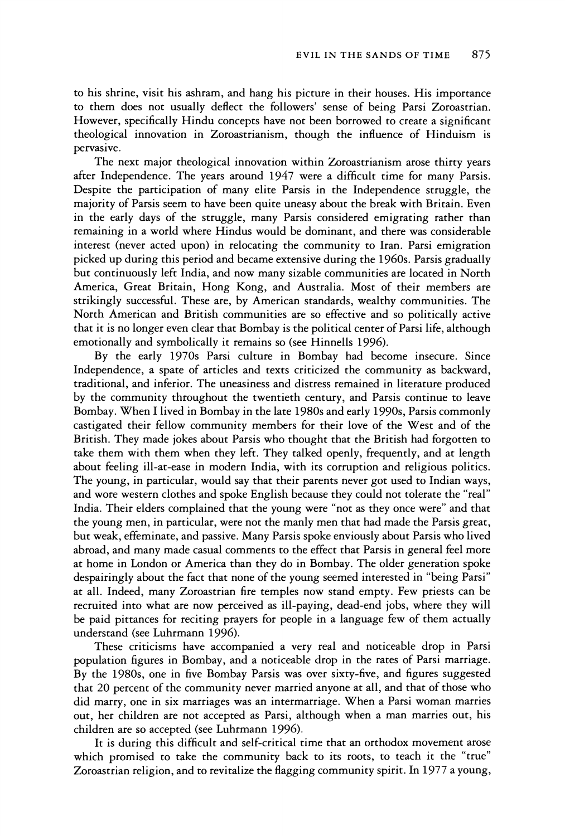to his shrine, visit his ashram, and hang his picture in their houses. His importance to them does not usually deflect the followers' sense of being Parsi Zoroastrian. However, specifically Hindu concepts have not been borrowed to create a significant theological innovation in Zoroastrianism, though the influence of Hinduism is pervasive.

The next major theological innovation within Zoroastrianism arose thirty years after Independence. The years around 1947 were a difficult time for many Parsis. Despite the participation of many elite Parsis in the Independence struggle, the majority of Parsis seem to have been quite uneasy about the break with Britain. Even in the early days of the struggle, many Parsis considered emigrating rather than remaining in a world where Hindus would be dominant, and there was considerable interest (never acted upon) in relocating the community to Iran. Parsi emigration picked up during this period and became extensive during the 1960s. Parsis gradually but continuously left India, and now many sizable communities are located in North America, Great Britain, Hong Kong, and Australia. Most of their members are strikingly successful. These are, by American standards, wealthy communities. The North American and British communities are so effective and so politically active that it is no longer even clear that Bombay is the political center of Parsi life, although emotionally and symbolically it remains so (see Hinnells 1996).

By the early 1970s Parsi culture in Bombay had become insecure. Since Independence, a spate of articles and texts criticized the community as backward, traditional, and inferior. The uneasiness and distress remained in literature produced by the community throughout the twentieth century, and Parsis continue to leave Bombay. When I lived in Bombay in the late 1980s and early 1990s, Parsis commonly castigated their fellow community members for their love of the West and of the British. They made jokes about Parsis who thought that the British had forgotten to take them with them when they left. They talked openly, frequently, and at length about feeling ill-at-ease in modern India, with its corruption and religious politics. The young, in particular, would say that their parents never got used to Indian ways, and wore western clothes and spoke English because they could not tolerate the "real" India. Their elders complained that the young were "not as they once were" and that the young men, in particular, were not the manly men that had made the Parsis great, but weak, effeminate, and passive. Many Parsis spoke enviously about Parsis who lived abroad, and many made casual comments to the effect that Parsis in general feel more at home in London or America than they do in Bombay. The older generation spoke despairingly about the fact that none of the young seemed interested in "being Parsi" at all. Indeed, many Zoroastrian fire temples now stand empty. Few priests can be recruited into what are now perceived as ill-paying, dead-end jobs, where they will be paid pittances for reciting prayers for people in a language few of them actually understand (see Luhrmann 1996).

These criticisms have accompanied a very real and noticeable drop in Parsi population figures in Bombay, and a noticeable drop in the rates of Parsi marriage. By the 1980s, one in five Bombay Parsis was over sixty-five, and figures suggested that 20 percent of the community never married anyone at all, and that of those who did marry, one in six marriages was an intermarriage. When a Parsi woman marries out, her children are not accepted as Parsi, although when a man marries out, his children are so accepted (see Luhrmann 1996).

It is during this difficult and self-critical time that an orthodox movement arose which promised to take the community back to its roots, to teach it the "true" Zoroastrian religion, and to revitalize the flagging community spirit. In 1977 a young,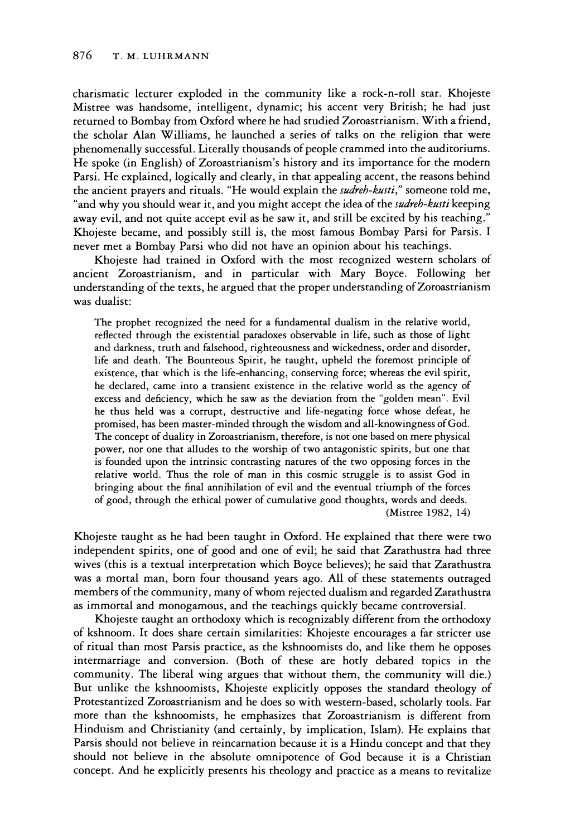charismatic lecturer exploded in the community like a rock-n-roll star. Khojeste Mistree was handsome, intelligent, dynamic; his accent very British; he had just returned to Bombay from Oxford where he had studied Zoroastrianism. With a friend, the scholar Alan Williams, he launched a series of talks on the religion that were phenomenally successful. Literally thousands of people crammed into the auditoriums. He spoke (in English) of Zoroastrianism's history and its importance for the modern Parsi. He explained, logically and clearly, in that appealing accent, the reasons behind the ancient prayers and rituals. "He would explain the *sudreb-kusti,"*someone told me, "and why you should wear it, and you might accept the idea of the *sudreb-kusti* keeping away evil, and not quite accept evil as he saw it, and still be excited by his teaching." Khojeste became, and possibly still is, the most famous Bombay Parsi for Parsis. I never met a Bombay Parsi who did not have an opinion about his teachings.

Khojeste had trained in Oxford with the most recognized western scholars of ancient Zoroastrianism, and in particular with Mary Boyce. Following her understanding of the texts, he argued that the proper understanding of Zoroastrianism was dualist:

The prophet recognized the need for a fundamental dualism in the relative world, reflected through the existential paradoxes observable in life, such as those of light and darkness, truth and falsehood, righteousness and wickedness, order and disorder, life and death. The Bounteous Spirit, he taught, upheld the foremost principle of existence, that which is the life-enhancing, conserving force; whereas the evil spirit, he declared, came into a transient existence in the relative world as the agency of excess and deficiency, which he saw as the deviation from the "golden mean". Evil he thus held was a corrupt, destructive and life-negating force whose defeat, he promised, has been master-minded through the wisdom and all-knowingness of God. The concept of duality in Zoroastrianism, therefore, is not one based on mere physical power, nor one that alludes to the worship of two antagonistic spirits, but one that is founded upon the intrinsic contrasting natures of the two opposing forces in the relative world. Thus the role of man in this cosmic struggle is to assist God in bringing about the final annihilation of evil and the eventual triumph of the forces of good, through the ethical power of cumulative good thoughts, words and deeds. (Mistree 1982, 14)

Khojeste taught as he had been taught in Oxford. He explained that there were two independent spirits, one of good and one of evil; he said that Zarathustra had three wives (this is a textual interpretation which Boyce believes); he said that Zarathustra was a mortal man, born four thousand years ago. All of these statements outraged members of the community, many of whom rejected dualism and regarded Zarathustra as immortal and monogamous, and the teachings quickly became controversial.

Khojeste taught an orthodoxy which is recognizably different from the orthodoxy of kshnoom. It does share certain similarities: Khojeste encourages a far stricter use of ritual than most Parsis practice, as the kshnoomists do, and like them he opposes intermarriage and conversion. (Both of these are hotly debated topics in the community. The liberal wing argues that without them, the community will die.) But unlike the kshnoomists, Khojeste explicitly opposes the standard theology of Protestantized Zoroastrianism and he does so with western-based, scholarly tools. Far more than the kshnoomists, he emphasizes that Zoroastrianism is different from Hinduism and Christianity (and certainly, by implication, Islam). He explains that Parsis should not believe in reincarnation because it is a Hindu concept and that they should not believe in the absolute omnipotence of God because it is a Christian concept. And he explicitly presents his theology and practice as a means to revitalize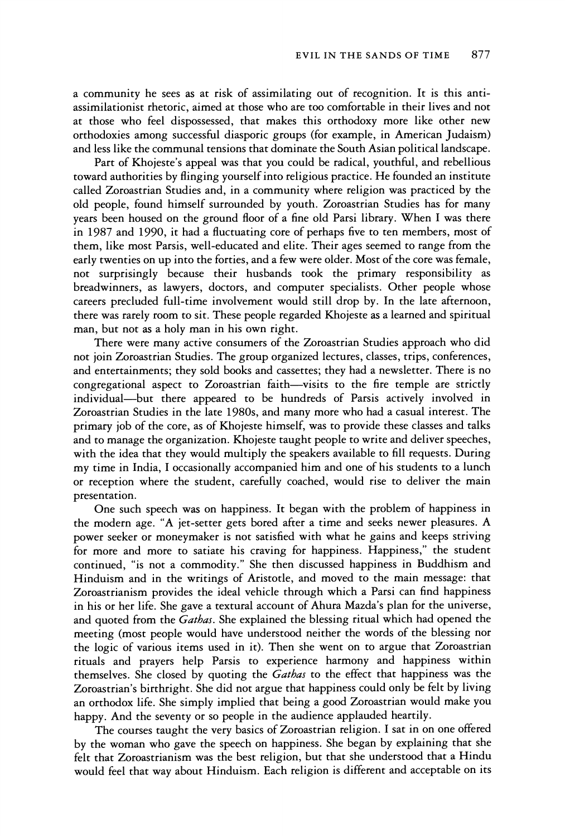a community he sees as at risk of assimilating out of recognition. It is this antiassimilationist rhetoric, aimed at those who are too comfortable in their lives and not at those who feel dispossessed, that makes this orthodoxy more like other new orthodoxies among successful diasporic groups (for example, in American Judaism) and less like the communal tensions that dominate the South Asian political landscape.

Part of Khojeste's appeal was that you could be radical, youthful, and rebellious toward authorities by flinging yourself into religious practice. He founded an institute called Zoroastrian Studies and, in a community where religion was practiced by the old people, found himself surrounded by youth. Zoroastrian Studies has for many years been housed on the ground floor of a fine old Parsi library. When I was there in 1987 and 1990, it had a fluctuating core of perhaps five to ten members, most of them, like most Parsis, well-educated and elite. Their ages seemed to range from the early twenties on up into the forties, and a few were older. Most of the core was female, not surprisingly because their husbands took the primary responsibility as breadwinners, as lawyers, doctors, and computer specialists. Other people whose careers precluded full-time involvement would still drop by. In the late afternoon, there was rarely room to sit. These people regarded Khojeste as a learned and spiritual man, but not as a holy man in his own right.

There were many active consumers of the Zoroastrian Studies approach who did not join Zoroastrian Studies. The group organized lectures, classes, trips, conferences, and entertainments; they sold books and cassettes; they had a newsletter. There is no congregational aspect to Zoroastrian faith-visits to the fire temple are strictly individual-but there appeared to be hundreds of Parsis actively involved in Zoroastrian Studies in the late 1980s, and many more who had a casual interest. The primary job of the core, as of Khojeste himself, was to provide these classes and talks and to manage the organization. Khojeste taught people to write and deliver speeches, with the idea that they would multiply the speakers available to fill requests. During my time in India, I occasionally accompanied him and one of his students to a lunch or reception where the student, carefully coached, would rise to deliver the main presentation.

One such speech was on happiness. It began with the problem of happiness in the modern age. "A jet-setter gets bored after a time and seeks newer pleasures. A power seeker or moneymaker is not satisfied with what he gains and keeps striving for more and more to satiate his craving for happiness. Happiness," the student continued, "is not a commodity." She then discussed happiness in Buddhism and Hinduism and in the writings of Aristotle, and moved to the main message: that Zoroastrianism provides the ideal vehicle through which a Parsi can find happiness in his or her life. She gave a textural account of Ahura Mazda's plan for the universe, and quoted from the *Gathas.* She explained the blessing ritual which had opened the meeting (most people would have understood neither the words of the blessing nor the logic of various items used in it). Then she went on to argue that Zoroastrian rituals and prayers help Parsis to experience harmony and happiness within themselves. She closed by quoting the *Gatbas* to the effect that happiness was the Zoroastrian's birthright. She did not argue that happiness could only be felt by living an orthodox life. She simply implied that being a good Zoroastrian would make you happy. And the seventy or so people in the audience applauded heartily.

The courses taught the very basics of Zoroastrian religion. I sat in on one offered by the woman who gave the speech on happiness. She began by explaining that she felt that Zoroastrianism was the best religion, but that she understood that a Hindu would feel that way about Hinduism. Each religion is different and acceptable on its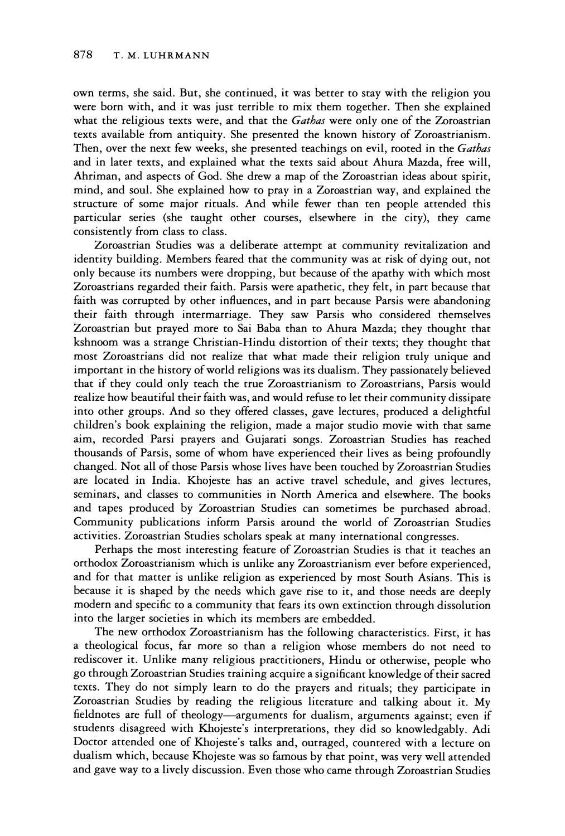own terms, she said. But, she continued, it was better to stay with the religion you were born with, and it was just terrible to mix them together. Then she explained what the religious texts were, and that the *Gathas* were only one of the Zoroastrian texts available from antiquity. She presented the known history of Zoroastrianism. Then, over the next few weeks, she presented teachings on evil, rooted in the *Gathas*  and in later texts, and explained what the texts said about Ahura Mazda, free will, Ahriman, and aspects of God. She drew a map of the Zoroastrian ideas about spirit, mind, and soul. She explained how to pray in a Zoroastrian way, and explained the structure of some major rituals. And while fewer than ten people attended this particular series (she taught other courses, elsewhere in the city), they came consistently from class to class.

Zoroastrian Studies was a deliberate attempt at community revitalization and identity building. Members feared that the community was at risk of dying out, not only because its numbers were dropping, but because of the apathy with which most Zoroastrians regarded their faith. Parsis were apathetic, they felt, in part because that faith was corrupted by other influences, and in part because Parsis were abandoning their faith through intermarriage. They saw Parsis who considered themselves Zoroastrian but prayed more to Sai Baba than to Ahura Mazda; they thought that kshnoom was a strange Christian-Hindu distortion of their texts; they thought that most Zoroastrians did not realize that what made their religion truly unique and important in the history of world religions was its dualism. They passionately believed that if they could only teach the true Zoroastrianism to Zoroastrians, Parsis would realize how beautiful their faith was, and would refuse to let their community dissipate into other groups. And so they offered classes, gave lectures, produced a delightful children's book explaining the religion, made a major studio movie with that same aim, recorded Parsi prayers and Gujarati songs. Zoroastrian Studies has reached thousands of Parsis, some of whom have experienced their lives as being profoundly changed. Not all of those Parsis whose lives have been touched by Zoroastrian Studies are located in India. Khojeste has an active travel schedule, and gives lectures, seminars, and classes to communities in North America and elsewhere. The books and tapes produced by Zoroastrian Studies can sometimes be purchased abroad. Community publications inform Parsis around the world of Zoroastrian Studies activities. Zoroastrian Studies scholars speak at many international congresses.

Perhaps the most interesting feature of Zoroastrian Studies is that it teaches an orthodox Zoroastrianism which is unlike any Zoroastrianism ever before experienced, and for that matter is unlike religion as experienced by most South Asians. This is because it is shaped by the needs which gave rise to it, and those needs are deeply modern and specific to a community that fears its own extinction through dissolution into the larger societies in which its members are embedded.

The new orthodox Zoroastrianism has the following characteristics. First, it has a theological focus, far more so than a religion whose members do not need to rediscover it. Unlike many religious practitioners, Hindu or otherwise, people who go through Zoroastrian Studies training acquire a significant knowledge of their sacred texts. They do not simply learn to do the prayers and rituals; they participate in Zoroastrian Studies by reading the religious literature and talking about it. My fieldnotes are full of theology-arguments for dualism, arguments against; even if students disagreed with Khojeste's interpretations, they did so knowledgably. Adi Doctor attended one of Khojeste's talks and, outraged, countered with a lecture on dualism which, because Khojeste was so famous by that point, was very well attended and gave way to a lively discussion. Even those who came through Zoroastrian Studies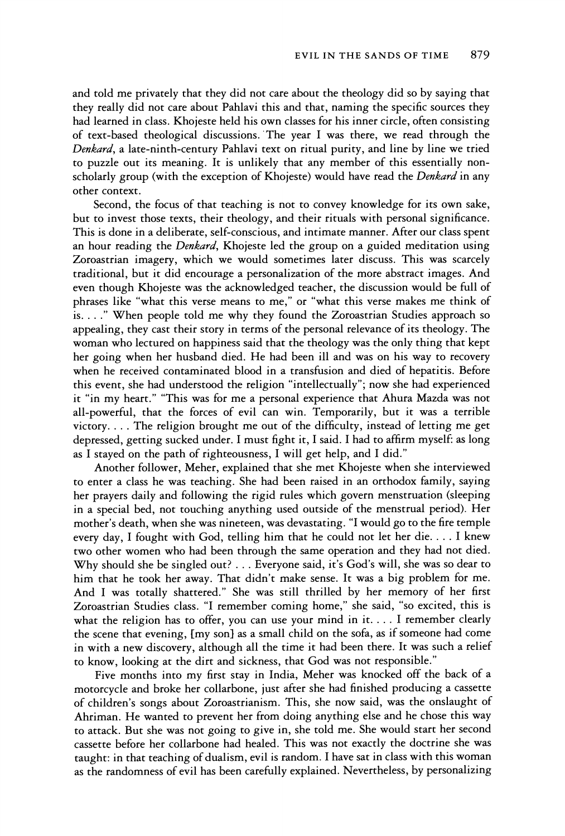and told me privately that they did not care about the theology did so by saying that they really did not care about Pahlavi this and that, naming the specific sources they had learned in class. Khojeste held his own classes for his inner circle, often consisting of text-based theological discussions. 'The year I was there, we read through the *Denkard,* a late-ninth-century Pahlavi text on ritual purity, and line by line we tried to puzzle out its meaning. It is unlikely that any member of this essentially nonscholarly group (with the exception of Khojeste) would have read the *Denkard* in any other context.

Second, the focus of that teaching is not to convey knowledge for its own sake, but to invest those texts, their theology, and their rituals with personal significance. This is done in a deliberate, self-conscious, and intimate manner. After our class spent an hour reading the *Denkard,* Khojeste led the group on a guided meditation using Zoroastrian imagery, which we would sometimes later discuss. This was scarcely traditional, but it did encourage a personalization of the more abstract images. And even though Khojeste was the acknowledged teacher, the discussion would be full of phrases like "what this verse means to me," or "what this verse makes me think of is. . . ." When people told me why they found the Zoroastrian Studies approach so appealing, they cast their story in terms of the personal relevance of its theology. The woman who lectured on happiness said that the theology was the only thing that kept her going when her husband died. He had been ill and was on his way to recovery when he received contaminated blood in a transfusion and died of hepatitis. Before this event, she had understood the religion "intellectually"; now she had experienced it "in my heart." "This was for me a personal experience that Ahura Mazda was not all-powerful, that the forces of evil can win. Temporarily, but it was a terrible victory. . . . The religion brought me out of the difficulty, instead of letting me get depressed, getting sucked under. I must fight it, I said. I had to affirm myself: as long as I stayed on the path of righteousness, I will get help, and I did."

Another follower, Meher, explained that she met Khojeste when she interviewed to enter a class he was teaching. She had been raised in an orthodox family, saying her prayers daily and following the rigid rules which govern menstruation (sleeping in a special bed, not touching anything used outside of the menstrual period). Her mother's death, when she was nineteen, was devastating. "I would go to the fire temple every day, I fought with God, telling him that he could not let her die. . . . I knew two other women who had been through the same operation and they had not died. Why should she be singled out? . . . Everyone said, it's God's will, she was so dear to him that he took her away. That didn't make sense. It was a big problem for me. And I was totally shattered." She was still thrilled by her memory of her first Zoroastrian Studies class. "I remember coming home," she said, "so excited, this is what the religion has to offer, you can use your mind in it.... I remember clearly the scene that evening, [my son) as a small child on the sofa, as if someone had come in with a new discovery, although all the time it had been there. It was such a relief to know, looking at the dirt and sickness, that God was not responsible."

Five months into my first stay in India, Meher was knocked off the back of a motorcycle and broke her collarbone, just after she had finished producing a cassette of children's songs about Zoroastrianism. This, she now said, was the onslaught of Ahriman. He wanted to prevent her from doing anything else and he chose this way to attack. But she was not going to give in, she told me. She would start her second cassette before her collarbone had healed. This was not exactly the doctrine she was taught: in that teaching of dualism, evil is random. I have sat in class with this woman as the randomness of evil has been carefully explained. Nevertheless, by personalizing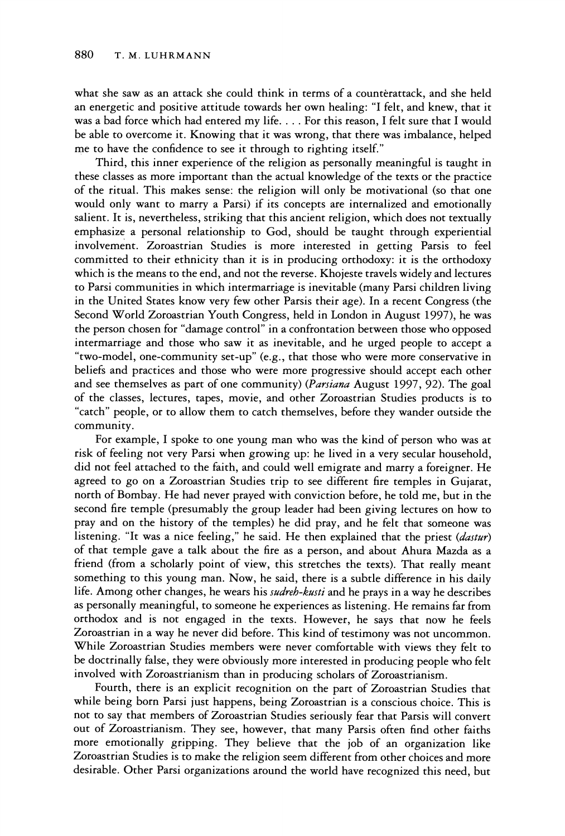what she saw as an attack she could think in terms of a counterattack, and she held an energetic and positive attitude towards her own healing: "I felt, and knew, that it was a bad force which had entered my life. . . . For this reason, I felt sure that I would be able to overcome it. Knowing that it was wrong, that there was imbalance, helped me to have the confidence to see it through to righting itself."

Third, this inner experience of the religion as personally meaningful is taught in these classes as more important than the actual knowledge of the texts or the practice of the ritual. This makes sense: the religion will only be motivational (so that one would only want to marry a Parsi) if its concepts are internalized and emotionally salient. It is, nevertheless, striking that this ancient religion, which does not textually emphasize a personal relationship to God, should be taught through experiential involvement. Zoroastrian Studies is more interested in getting Parsis to feel committed to their ethnicity than it is in producing orthodoxy: it is the orthodoxy which is the means to the end, and not the reverse. Khojeste travels widely and lectures to Parsi communities in which intermarriage is inevitable (many Parsi children living in the United States know very few other Parsis their age). In a recent Congress (the Second World Zoroastrian Youth Congress, held in London in August 1997), he was the person chosen for "damage control" in a confrontation between those who opposed intermarriage and those who saw it as inevitable, and he urged people to accept a "two-model, one-community set-up" (e.g., that those who were more conservative in beliefs and practices and those who were more progressive should accept each other and see themselves as part of one community) (Parsiana August 1997, 92). The goal of the classes, lectures, tapes, movie, and other Zoroastrian Studies products is to "catch" people, or to allow them to catch themselves, before they wander outside the community.

For example, I spoke to one young man who was the kind of person who was at risk of feeling not very Parsi when growing up: he lived in a very secular household, did not feel attached to the faith, and could well emigrate and marry a foreigner. He agreed to go on a Zoroastrian Studies trip to see different fire temples in Gujarat, north of Bombay. He had never prayed with conviction before, he told me, but in the second fire temple (presumably the group leader had been giving lectures on how to pray and on the history of the temples) he did pray, and he felt that someone was listening. "It was a nice feeling," he said. He then explained that the priest (dastur) of that temple gave a talk about the fire as a person, and about Ahura Mazda as a friend (from a scholarly point of view, this stretches the texts). That really meant something to this young man. Now, he said, there is a subtle difference in his daily life. Among other changes, he wears his *sudreh-kusti* and he prays in a way he describes as personally meaningful, to someone he experiences as listening. He remains far from orthodox and is not engaged in the texts. However, he says that now he feels Zoroastrian in a way he never did before. This kind of testimony was not uncommon. While Zoroastrian Studies members were never comfortable with views they felt to be doctrinally false, they were obviously more interested in producing people who felt involved with Zoroastrianism than in producing scholars of Zoroastrianism.

Fourth, there is an explicit recognition on the part of Zoroastrian Studies that while being born Parsi just happens, being Zoroastrian is a conscious choice. This is not to say that members of Zoroastrian Studies seriously fear that Parsis will convert out of Zoroastrianism. They see, however, that many Parsis often find other faiths more emotionally gripping. They believe that the job of an organization like Zoroastrian Studies is to make the religion seem different from other choices and more desirable. Other Parsi organizations around the world have recognized this need, but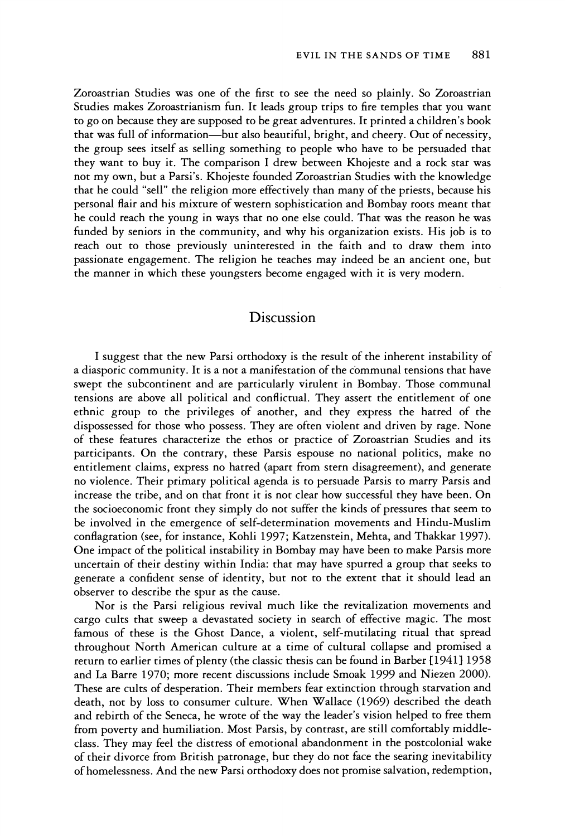Zoroastrian Studies was one of the first to see the need so plainly. So Zoroastrian Studies makes Zoroastrianism fun. It leads group trips to fire temples that you want to go on because they are supposed to be great adventures. It printed a children's book that was full of information-but also beautiful, bright, and cheery. Out of necessity, the group sees itself as selling something to people who have to be persuaded that they want to buy it. The comparison I drew between Khojeste and a rock star was not my own, but a Parsi's. Khojeste founded Zoroastrian Studies with the knowledge that he could "sell" the religion more effectively than many of the priests, because his personal flair and his mixture of western sophistication and Bombay roots meant that he could reach the young in ways that no one else could. That was the reason he was funded by seniors in the community, and why his organization exists. His job is to reach out to those previously uninterested in the faith and to draw them into passionate engagement. The religion he teaches may indeed be an ancient one, but the manner in which these youngsters become engaged with it is very modern.

### Discussion

I suggest that the new Parsi orthodoxy is the result of the inherent instability of a diasporic community. It is a not a manifestation of the communal tensions that have swept the subcontinent and are particularly virulent in Bombay. Those communal tensions are above all political and conflictual. They assert the entitlement of one ethnic group to the privileges of another, and they express the hatred of the dispossessed for those who possess. They are often violent and driven by rage. None of these features characterize the ethos or practice of Zoroastrian Studies and its participants. On the contrary, these Parsis espouse no national politics, make no entitlement claims, express no hatred (apart from stern disagreement), and generate no violence. Their primary political agenda is to persuade Parsis to marry Parsis and increase the tribe, and on that front it is not clear how successful they have been. On the socioeconomic front they simply do not suffer the kinds of pressures that seem to be involved in the emergence of self-determination movements and Hindu-Muslim conflagration (see, for instance, Kohli 1997; Katzenstein, Mehta, and Thakkar 1997). One impact of the political instability in Bombay may have been to make Parsis more uncertain of their destiny within India: that may have spurred a group that seeks to generate a confident sense of identity, but not to the extent that it should lead an observer to describe the spur as the cause.

Nor is the Parsi religious revival much like the revitalization movements and cargo cults that sweep a devastated society in search of effective magic. The most famous of these is the Ghost Dance, a violent, self-mutilating ritual that spread throughout North American culture at a time of cultural collapse and promised a return to earlier times of plenty (the classic thesis can be found in Barber [1941] 1958 and La Barre 1970; more recent discussions include Smoak 1999 and Niezen 2000). These are cults of desperation. Their members fear extinction through starvation and death, not by loss to consumer culture. When Wallace (1969) described the death and rebirth of the Seneca, he wrote of the way the leader's vision helped to free them from poverty and humiliation. Most Parsis, by contrast, are still comfortably middleclass. They may feel the distress of emotional abandonment in the postcolonial wake of their divorce from British patronage, but they do not face the searing inevitability of homelessness. And the new Parsi orthodoxy does not promise salvation, redemption,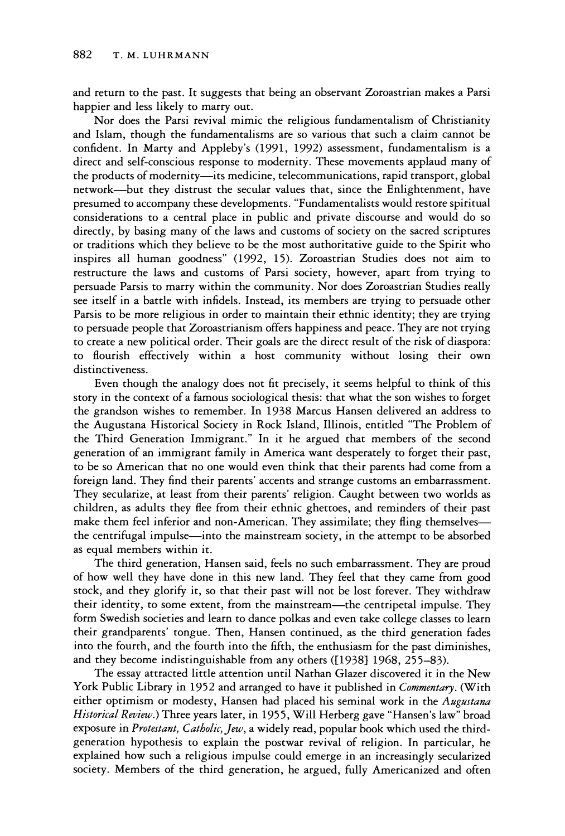and return to the past. It suggests that being an observant Zoroastrian makes a Parsi happier and less likely to marry out.

Nor does the Parsi revival mimic the religious fundamentalism of Christianity and Islam, though the fundamentalisms are so various that such a claim cannot be confident. In Marty and Appleby's *(1991, 1992)* assessment, fundamentalism is a direct and self-conscious response to modernity. These movements applaud many of the products of modernity-its medicine, telecommunications, rapid transport, global network-but they distrust the secular values that, since the Enlightenment, have presumed to accompany these developments. "Fundamentalists would restore spiritual considerations to a central place in public and private discourse and would do so directly, by basing many of the laws and customs of society on the sacred scriptures or traditions which they believe to be the most authoritative guide to the Spirit who inspires all human goodness" *(1992, 15).* Zoroastrian Studies does not aim to restructure the laws and customs of Parsi society, however, apart from trying to persuade Parsis to marry within the community. Nor does Zoroastrian Studies really see itself in a battle with infidels. Instead, its members are trying to persuade other Parsis to be more religious in order to maintain their ethnic identity; they are trying to persuade people that Zoroastrianism offers happiness and peace. They are not trying to create a new political order. Their goals are the direct result of the risk of diaspora: to flourish effectively within a host community without losing their own distinctiveness.

Even though the analogy does not fit precisely, it seems helpful to think of this story in the context of a famous sociological thesis: that what the son wishes to forget the grandson wishes to remember. In *1938* Marcus Hansen delivered an address to the Augustana Historical Society in Rock Island, Illinois, entitled "The Problem of the Third Generation Immigrant." In it he argued that members of the second generation of an immigrant family in America want desperately to forget their past, to be so American that no one would even think that their parents had come from a foreign land. They find their parents' accents and strange customs an embarrassment. They secularize, at least from their parents' religion. Caught between two worlds as children, as adults they flee from their ethnic ghettoes, and reminders of their past make them feel inferior and non-American. They assimilate; they fling themselvesthe centrifugal impulse—into the mainstream society, in the attempt to be absorbed as equal members within it.

The third generation, Hansen said, feels no such embarrassment. They are proud of how well they have done in this new land. They feel that they came from good stock, and they glorify it, so that their past will not be lost forever. They withdraw their identity, to some extent, from the mainstream-the centripetal impulse. They form Swedish societies and learn to dance polkas and even take college classes to learn their grandparents' tongue. Then, Hansen continued, as the third generation fades into the fourth, and the fourth into the fifth, the enthusiasm for the past diminishes, and they become indistinguishable from any others *(11938) 1968, 255-83).* 

The essay attracted little attention until Nathan Glazer discovered it in the New York Public Library in *1952* and arranged to have it published in *Commentary.* (With either optimism or modesty, Hansen had placed his seminal work in the *Augustana Historical Review.)* Three years later, in *1955,* Will Herberg gave "Hansen's law" broad exposure in *Protestant, Catholic, Jew,* a widely read, popular book which used the thirdgeneration hypothesis to explain the postwar revival of religion. In particular, he explained how such a religious impulse could emerge in an increasingly secularized society. Members of the third generation, he argued, fully Americanized and often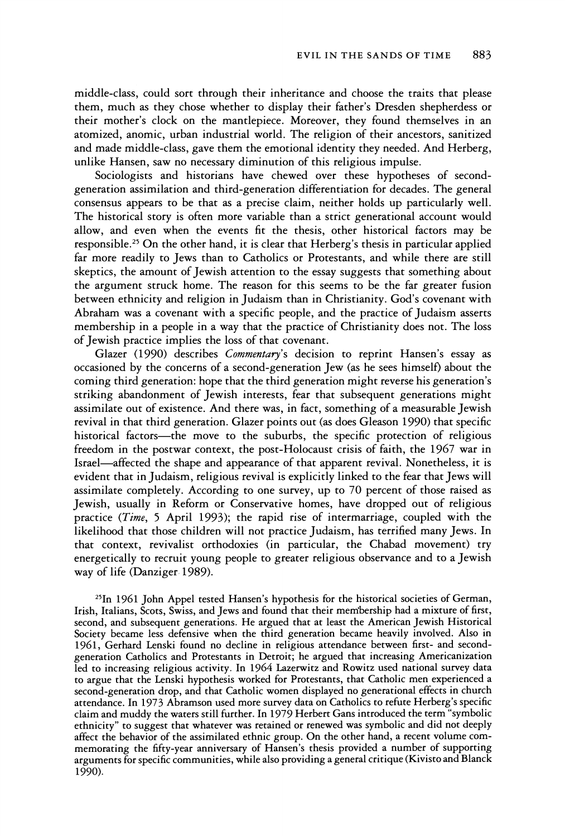middle-class, could sort through their inheritance and choose the traits that please them, much as they chose whether to display their father's Dresden shepherdess or their mother's clock on the mantlepiece. Moreover, they found themselves in an atomized, anomic, urban industrial world. The religion of their ancestors, sanitized and made middle-class, gave them the emotional identity they needed. And Herberg, unlike Hansen, saw no necessary diminution of this religious impulse.

Sociologists and historians have chewed over these hypotheses of secondgeneration assimilation and third-generation differentiation for decades. The general consensus appears to be that as a precise claim, neither holds up particularly well. The historical story is often more variable than a strict generational account would allow, and even when the events fit the thesis, other historical factors may be responsible.<sup>25</sup> On the other hand, it is clear that Herberg's thesis in particular applied far more readily to Jews than to Catholics or Protestants, and while there are still skeptics, the amount of Jewish attention to the essay suggests that something about the argument struck home. The reason for this seems to be the far greater fusion between ethnicity and religion in Judaism than in Christianity. God's covenant with Abraham was a covenant with a specific people, and the practice of Judaism asserts membership in a people in a way that the practice of Christianity does not. The loss of Jewish practice implies the loss of that covenant.

Glazer (1990) describes Commentary's decision to reprint Hansen's essay as occasioned by the concerns of a second-generation Jew (as he sees himself) about the coming third generation: hope that the third generation might reverse his generation's striking abandonment of Jewish interests, fear that subsequent generations might assimilate out of existence. And there was, in fact, something of a measurable Jewish revival in that third generation. Glazer points out (as does Gleason 1990) that specific historical factors-the move to the suburbs, the specific protection of religious freedom in the postwar context, the post-Holocaust crisis of faith, the 1967 war in Israel-affected the shape and appearance of that apparent revival. Nonetheless, it is evident that in Judaism, religious revival is explicitly linked to the fear that Jews will assimilate completely. According to one survey, up to 70 percent of those raised as Jewish, usually in Reform or Conservative homes, have dropped out of religious practice (Time, **5** April 1993); the rapid rise of intermarriage, coupled with the likelihood that those children will not practice Judaism, has terrified many Jews. In that context, revivalist orthodoxies (in particular, the Chabad movement) try energetically to recruit young people to greater religious observance and to a Jewish way of life (Danziger 1989).

251n 1961 John Appel tested Hansen's hypothesis for the historical societies of German, Irish, Italians, Scots, Swiss, and Jews and found that their mem'bership had a mixture of first, second, and subsequent generations. He argued that at least the American Jewish Historical Society became less defensive when the third generation became heavily involved. Also in 1961, Gerhard Lenski found no decline in religious attendance between first- and secondgeneration Catholics and Protestants in Detroit; he argued that increasing Americanization led to increasing religious activity. In 1964 Lazerwitz and Rowitz used national survey data to argue that the Lenski hypothesis worked for Protestants, that Catholic men experienced a second-generation drop, and that Catholic women displayed no generational effects in church attendance. In 1973 Abramson used more survey data on Catholics to refute Herberg's specific claim and muddy the waters still further. In 1979 Herbert Gans introduced the term "symbolic ethnicity" to suggest that whatever was retained or renewed was symbolic and did not deeply affect the behavior of the assimilated ethnic group. On the other hand, a recent volume commemorating the fifty-year anniversary of Hansen's thesis provided a number of supporting arguments for specific communities, while also providing a general critique (Kivisto and Blanck 1990).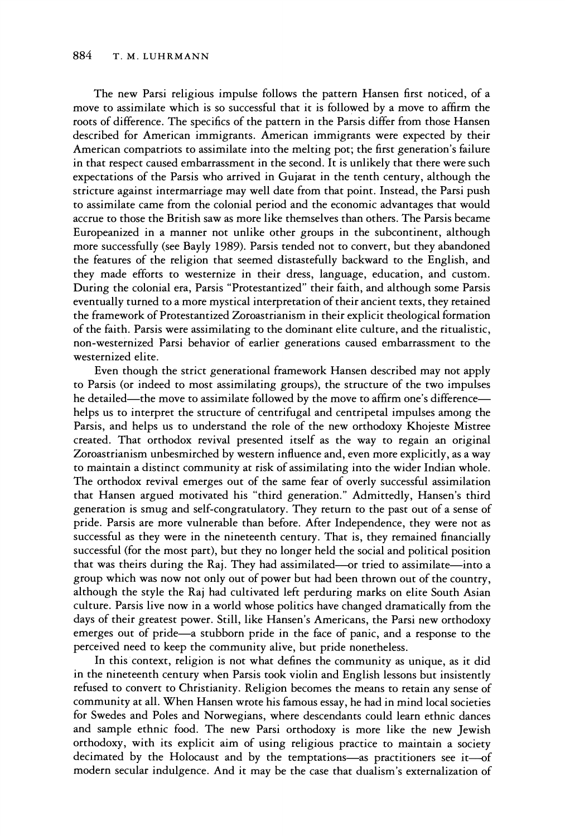The new Parsi religious impulse follows the pattern Hansen first noticed, of a move to assimilate which is so successful that it is followed by a move to affirm the roots of difference. The specifics of the pattern in the Parsis differ from those Hansen described for American immigrants. American immigrants were expected by their American compatriots to assimilate into the melting pot; the first generation's failure in that respect caused embarrassment in the second. It is unlikely that there were such expectations of the Parsis who arrived in Gujarat in the tenth century, although the stricture against intermarriage may well date from that point. Instead, the Parsi push to assimilate came from the colonial period and the economic advantages that would accrue to those the British saw as more like themselves than others. The Parsis became Europeanized in a manner not unlike other groups in the subcontinent, although more successfully (see Bayly 1989). Parsis tended not to convert, but they abandoned the features of the religion that seemed distastefully backward to the English, and they made efforts to westernize in their dress, language, education, and custom. During the colonial era, Parsis "Protestantized" their faith, and although some Parsis eventually turned to a more mystical interpretation of their ancient texts, they retained the framework of Protestantized Zoroastrianism in their explicit theological formation of the faith. Parsis were assimilating to the dominant elite culture, and the ritualistic, non-westernized Parsi behavior of earlier generations caused embarrassment to the westernized elite.

Even though the strict generational framework Hansen described may not apply to Parsis (or indeed to most assimilating groups), the structure of the two impulses he detailed-the move to assimilate followed by the move to affirm one's differencehelps us to interpret the structure of centrifugal and centripetal impulses among the Parsis, and helps us to understand the role of the new orthodoxy Khojeste Mistree created. That orthodox revival presented itself as the way to regain an original Zoroastrianism unbesmirched by western influence and, even more explicitly, as a way to maintain a distinct community at risk of assimilating into the wider Indian whole. The orthodox revival emerges out of the same fear of overly successful assimilation that Hansen argued motivated his "third generation." Admittedly, Hansen's third generation is smug and self-congratulatory. They return to the past out of a sense of pride. Parsis are more vulnerable than before. After Independence, they were not as successful as they were in the nineteenth century. That is, they remained financially successful (for the most part), but they no longer held the social and political position that was theirs during the Raj. They had assimilated-or tried to assimilate-into a group which was now not only out of power but had been thrown out of the country, although the style the Raj had cultivated left perduring marks on elite South Asian culture. Parsis live now in a world whose politics have changed dramatically from the days of their greatest power. Still, like Hansen's Americans, the Parsi new orthodoxy emerges out of pride-a stubborn pride in the face of panic, and a response to the perceived need to keep the community alive, but pride nonetheless.

In this context, religion is not what defines the community as unique, as it did in the nineteenth century when Parsis took violin and English lessons but insistently refused to convert to Christianity. Religion becomes the means to retain any sense of community at all. When Hansen wrote his famous essay, he had in mind local societies for Swedes and Poles and Norwegians, where descendants could learn ethnic dances and sample ethnic food. The new Parsi orthodoxy is more like the new Jewish orthodoxy, with its explicit aim of using religious practice to maintain a society decimated by the Holocaust and by the temptations-as practitioners see it-of modern secular indulgence. And it may be the case that dualism's externalization of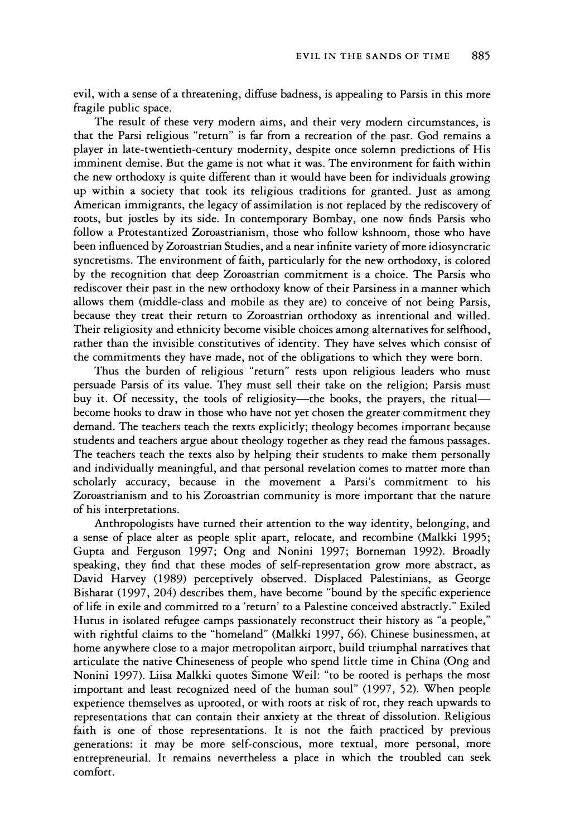evil, with a sense of a threatening, diffuse badness, is appealing to Parsis in this more fragile public space.

The result of these very modern aims, and their very modern circumstances, is that the Parsi religious "return" is far from a recreation of the past. God remains a player in late-twentieth-century modernity, despite once solemn predictions of His imminent demise. But the game is not what it was. The environment for faith within the new orthodoxy is quite different than it would have been for individuals growing up within a society that took its religious traditions for granted. Just as among American immigrants, the legacy of assimilation is not replaced by the rediscovery of roots, but jostles by its side. In contemporary Bombay, one now finds Parsis who follow a Protestantized Zoroastrianism, those who follow kshnoom, those who have been influenced by Zoroastrian Studies, and a near infinite variety of more idiosyncratic syncretisms. The environment of faith, particularly for the new orthodoxy, is colored by the recognition that deep Zoroastrian commitment is a choice. The Parsis who rediscover their past in the new orthodoxy know of their Parsiness in a manner which allows them (middle-class and mobile as they are) to conceive of not being Parsis, because they treat their return to Zoroastrian orthodoxy as intentional and willed. Their religiosity and ethnicity become visible choices among alternatives for selfhood, rather than the invisible constitutives of identity. They have selves which consist of the commitments they have made, not of the obligations to which they were born.

Thus the burden of religious "return" rests upon religious leaders who must persuade Parsis of its value. They must sell their take on the religion; Parsis must buy it. Of necessity, the tools of religiosity—the books, the prayers, the ritual become hooks to draw in those who have not yet chosen the greater commitment they demand. The teachers teach the texts explicitly; theology becomes important because students and teachers argue about theology together as they read the famous passages. The teachers teach the texts also by helping their students to make them personally and individually meaningful, and that personal revelation comes to matter more than scholarly accuracy, because in the movement a Parsi's commitment to his Zoroastrianism and to his Zoroastrian community is more important that the nature of his interpretations.

Anthropologists have turned their attention to the way identity, belonging, and a sense of place alter as people split apart, relocate, and recombine (Malkki 1995; Gupta and Ferguson 1997; Ong and Nonini 1997; Borneman 1992). Broadly speaking, they find that these modes of self-representation grow more abstract, as David Harvey (1989) perceptively observed. Displaced Palestinians, as George Bisharat (1997, 204) describes them, have become "bound by the specific experience of life in exile and committed to a 'return' to a Palestine conceived abstractly." Exiled Hutus in isolated refugee camps passionately reconstruct their history as "a people," with rightful claims to the "homeland" (Malkki 1997, 66). Chinese businessmen, at home anywhere close to a major metropolitan airport, build triumphal narratives that articulate the native Chineseness of people who spend little time in China (Ong and Nonini 1997). Liisa Malkki quotes Simone Weil: "to be rooted is perhaps the most important and least recognized need of the human soul" (1997, 52). When people experience themselves as uprooted, or with roots at risk of rot, they reach upwards to representations that can contain their anxiety at the threat of dissolution. Religious faith is one of those representations. It is not the faith practiced by previous generations: it may be more self-conscious, more textual, more personal, more entrepreneurial. It remains nevertheless a place in which the troubled can seek comfort.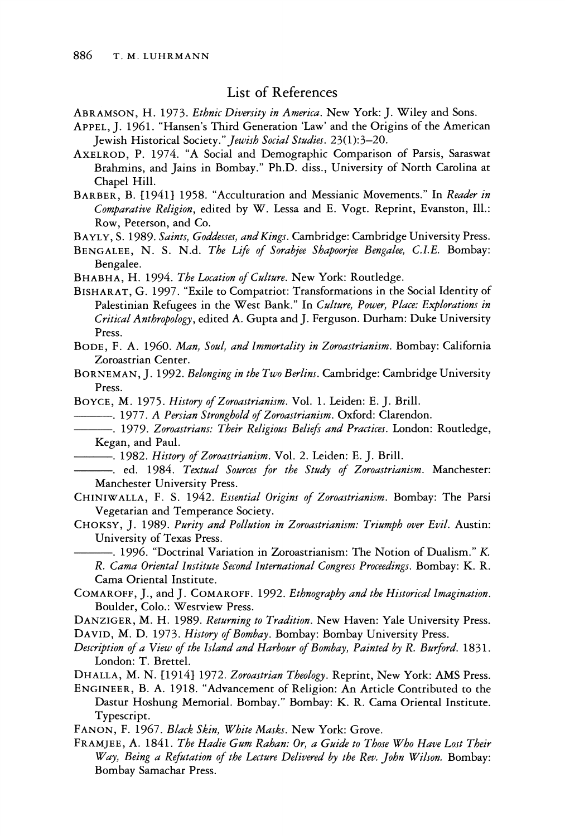### List of References

ABRAMSON,H. 1973. *Ethnic Diversity in America.* New York: J. Wiley and Sons.

- APPEL,J. 1961. "Hansen's Third Generation 'Law' and the Origins of the American Jewish Historical Society." *Jewish Social Studies.* 23(1):3-20.
- AXELROD, P. 1974. "A Social and Demographic Comparison of Parsis, Saraswat Brahmins, and Jains in Bombay." Ph.D. diss., University of North Carolina at Chapel Hill.
- BARBER, B. [1941] 1958. "Acculturation and Messianic Movements." In *Reader in Comparative Religion,* edited by W. Lessa and E. Vogt. Reprint, Evanston, Ill.: Row, Peterson, and Co.

BAYLY,S. 1989. *Saints, Goddesses, andKings.* Cambridge: Cambridge University Press.

BENGALEE, N. S. N.d. *The Life of Sorabjee Shapoorjee Bengalee, C.I.E.* Bombay: Bengalee.

BHABHA, H. 1994. *The Location of Culture*. New York: Routledge.

- BISHARAT,G. 1997. "Exile to Compatriot: Transformations in the Social Identity of Palestinian Refugees in the West Bank." In *Culture, Power, Place: Explorations in Critical Anthropology,* edited A. Gupta and J. Ferguson. Durham: Duke University Press.
- BODE, F. A. 1960. *Man, Soul, and Immortality in Zoroastrianism.* Bombay: California Zoroastrian Center.
- BORNEMAN,J. 1992. *Belonging in the Two Berlins.* Cambridge: Cambridge University Press.
- BOYCE, M. 1975. *History of Zoroastrianism.* Vol. 1. Leiden: E. J. Brill.
	- . 197 7. *A Persian Stronghold of Zoroastrianism.* Oxford: Clarendon.
- . 1979. *Zoroastrians: Their Religious Beliefs and Practices.* London: Routledge, Kegan, and Paul.
- . 1982. *History ofZoroastrianism.* Vol. 2. Leiden: E. J. Brill.
- . ed. 1984. *Textual Sources for the Study of Zoroastrianism.* Manchester: Manchester University Press.
- CHINIWALLA,F. S. 1942. *Essential Origins of Zoroastrianism.* Bombay: The Parsi Vegetarian and Temperance Society.
- CHOKSY, J. 1989. *Purity and Pollution in Zoroastrianism: Triumph over Evil.* Austin: University of Texas Press.
	- . 1996. "Doctrinal Variation in Zoroastrianism: The Notion of Dualism." *K. R. Cama Oriental Institute Second International Congress Proceedings.* Bombay: *K.* R. Cama Oriental Institute.
- COMAROFF, J., and J. COMAROFF. 1992. *Ethnography and the Historical Imagination*. Boulder, Colo.: Westview Press.
- DANZIGER,M. H. 1989. *Returning to Tradition.* New Haven: Yale University Press. DAVID, M. D. 1973. *History of Bombay.* Bombay: Bombay University Press.
- Description of a View of the Island and Harbour of Bombay, Painted by R. Burford. 1831. London: T. Brettel.

DHALLA, M. N. [1914] 1972. *Zoroastrian Theology*. Reprint, New York: AMS Press.

ENGINEER,B. A. 1918. "Advancement of Religion: An Article Contributed to the Dastur Hoshung Memorial. Bombay." Bombay: K. R. Cama Oriental Institute. Typescript.

FANON, F. 1967. *Black Skin, White Masks.* New York: Grove.

FRAMJEE,A. 1841. *The Hadie Gum Rahan: Or, a Guide to Those Who Have Lost Their Way, Being a Rejutation of the Lecture Delivered by the Rev. John Wilson.* Bombay: Bombay Samachar Press.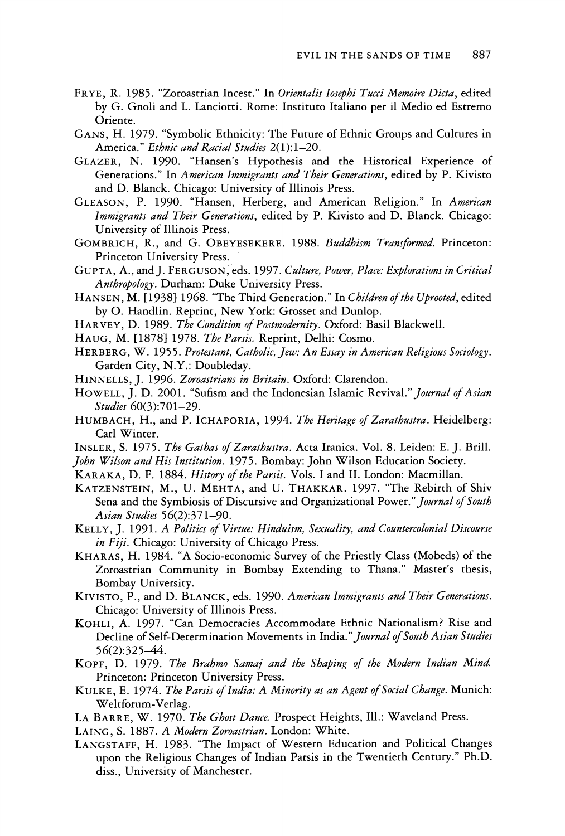- FRYE, R. 1985. "Zoroastrian Incest." In *Orientalis losephi Tucci Memoire Dicta,* edited by G. Gnoli and L. Lanciotti. Rome: Instituto Italiano per il Medio ed Estremo Oriente.
- GANS, H. 1979. "Symbolic Ethnicity: The Future of Ethnic Groups and Cultures in America." *Ethnic and Racial Studies* 2(1):1-20.
- GLAZER, N. 1990. "Hansen's Hypothesis and the Historical Experience of Generations." In *American Immigrants and Their Generations,* edited by P. Kivisto and D. Blanck. Chicago: University of Illinois Press.
- GLEASON, P. 1990. "Hansen, Herberg, and American Religion." In *American Immigrants and Their Generations,* edited by P. Kivisto and D. Blanck. Chicago: University of Illinois Press.
- GOMBRICH, R., and G. OBEYESEKERE. 1988. *Buddhism Transformed.* Princeton: Princeton University Press.
- GUPTA, A., and J. FERGUSON, eds. 1997. *Culture, Power, Place: Explorations in Critical Anthropology.* Durham: Duke University Press.
- HANSEN, M. [1938] 1968. "The Third Generation." In *Children of the Uprooted*, edited by 0. Handlin. Reprint, New York: Grosset and Dunlop.
- HARVEY,D. 1989. *The Condition of Postmodernity.* Oxford: Basil Blackwell.
- HAUG,M. 118781 1978. *The Parsis.* Reprint, Delhi: Cosmo.
- HERBERG, W. 1955. Protestant, Catholic, Jew: An Essay in American Religious Sociology. Garden City, N.Y.: Doubleday.
- HINNELLS,J. 1996. *Zoroastrians in Britain.* Oxford: Clarendon.
- HOWELL, J. D. 2001. "Sufism and the Indonesian Islamic Revival." *Journal of Asian Studies* 60(3):701-29.
- HUMBACH, H., and P. ICHAPORIA, 1994. *The Heritage of Zarathustra*. Heidelberg: Carl Winter.
- INSLER, S. 1975. *The Gathas of Zarathustra*. Acta Iranica. Vol. 8. Leiden: E. J. Brill.
- *John Wilson and His Institution.* 1975. Bombay: John Wilson Education Society.
- KARAKA,D. F. 1884. *History of the Parsis.* Vols. I and 11. London: Macmillan.
- KATZENSTEIN, M., U. MEHTA, and U. THAKKAR. 1997. "The Rebirth of Shiv Sena and the Symbiosis of Discursive and Organizational Power." *Journal of South Asian Studies* 56(2):37 1-90.
- KELLY,J. 1991. *A Politics of Virtue: Hinduism, Sexuality, and Countercolonial Discourse in Fiji.* Chicago: University of Chicago Press.
- KHARAS,H. 1984. "A Socio-economic Survey of the Priestly Class (Mobeds) of the Zoroastrian Community in Bombay Extending to Thana." Master's thesis, Bombay University.
- KIVISTO, P., and D. BLANCK, eds. 1990. *American Immigrants and Their Generations.*  Chicago: University of Illinois Press.
- KOHLI, A. 1997. "Can Democracies Accommodate Ethnic Nationalism? Rise and Decline of Self-Determination Movements in India." *Journal of South Asian Studies*  56(2):325-44.
- KOPF, D. 1979. *The Brahmo Samaj and the Shaping of the Modern lndian Mind.*  Princeton: Princeton University Press.
- KULKE, E. 1974. *The Parsis of lndia: A Minority as an Agent of Social Change.* Munich: Weltforum-Verlag.
- LA BARRE, W. 1970. *The Ghost Dance.* Prospect Heights, Ill.: Waveland Press.
- LAING, S. 1887. *A Modern Zoroastrian.* London: White.
- LANGSTAFF,H. 1983. "The Impact of Western Education and Political Changes upon the Religious Changes of Indian Parsis in the Twentieth Century." Ph.D. diss., University of Manchester.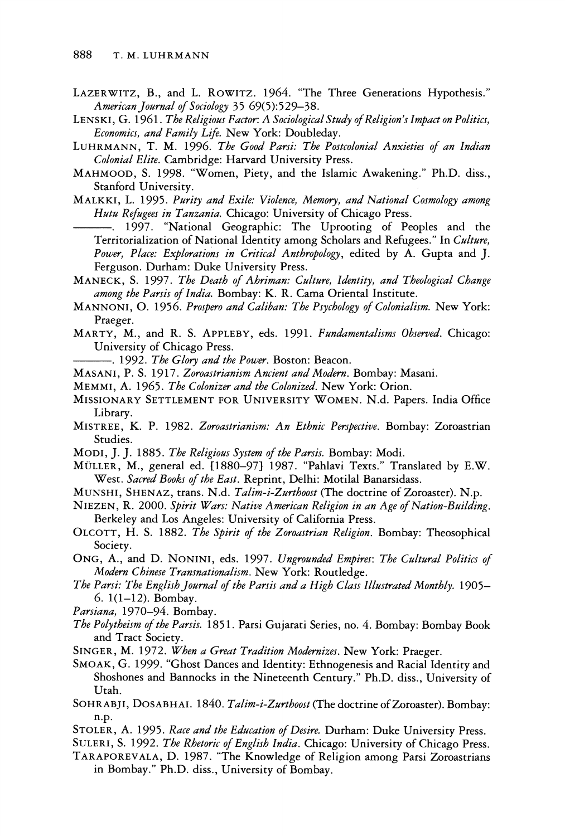- LAZERWITZ, B., and L. ROWITZ. 1964. "The Three Generations Hypothesis." American Journal of Sociology 35 69(5):529–38.
- LENSKI, G. 1961. *The Religious Factor: A Sociological Study of Religion's Impact on Politics*, *Economics, and Family Life.* New York: Doubleday.
- LUHRMANN,T. M. 1996. *The Good Parsi: The Postcolonial Anxieties of an Indian Colonial Elite.* Cambridge: Haward University Press.
- MAHMOOD, S. 1998. "Women, Piety, and the Islamic Awakening." Ph.D. diss., Stanford University.
- MALKKI, L. 1995. *Purity and Exile: Violence, Memory, and National Cosmology among*  Hutu Refugees in Tanzania. Chicago: University of Chicago Press.

. 1997. "National Geographic: The Uprooting of Peoples and the Territorialization of National Identity among Scholars and Refugees." In *Culture, Power, Place: Explorations in Critical Anthropology,* edited by A. Gupta and J. Ferguson. Durham: Duke University Press.

- MANECK, S. 1997. *The Death of Ahriman: Culture, Identity, and Theological Change among the Parsis of India.* Bombay: K. R. Cama Oriental Institute.
- MANNONI, 0. 1956. *Prospero and Caliban: The Psychology of Colonialism.* New York: Praeger.
- MARTY, M., and R. S. APPLEBY, eds. 1991. *Fundamentalisms Observed.* Chicago: University of Chicago Press.
	- . 1992. *The Glory and the Power.* Boston: Beacon.
- MASANI, P. S. 1917. *Zoroastrianism Ancient and Modern*. Bombay: Masani.
- MEMMI, A. 1965. *The Colonizer and the Colonized.* New York: Orion.
- MISSIONARYSETTLEMENT FOR UNIVERSITY WOMEN. N.d. Papers. India Office Library.
- MISTREE, K. P. 1982. *Zoroastrianism: An Ethnic Perspective.* Bombay: Zoroastrian Studies.
- MODI, J. J. 1885. *The Religious System of the Parsis*. Bombay: Modi.
- MULLER, M., general ed. 11880-971 1987. "Pahlavi Texts." Translated by E.W. West. *Sacred Books of the East.* Reprint, Delhi: Motilal Banarsidass.
- MUNSHI, SHENAZ, trans. N.d. *Talim-i-Zurthoost* (The doctrine of Zoroaster). N.p.
- NIEZEN, R. 2000. *Spirit Wars: Native American Religzon in an Age of Nation-Building.*  Berkeley and Los Angeles: University of California Press.
- OLCOTT,H. S. 1882. *The Spirit* of *the Zoroastrian Religion.* Bombay: Theosophical Society.
- ONG, A., and D. NONINI, eds. 1997. *Ungrounded Empires: The Cultural Politics of Modern Chinese Transnationalism.* New York: Routledge.
- The Parsi: The English Journal of the Parsis and a High Class Illustrated Monthly. 1905– 6. l(1-12). Bombay.
- *Parsiana,* 1970-94. Bombay.
- *The Polytheism of the Parsis.* 185 1. Parsi Gujarati Series, no. 4. Bombay: Bombay Book and Tract Society.
- SINGER, M. 1972. *When a Great Tradition Modernizes.* New York: Praeger.
- SMOAK, G. 1999. "Ghost Dances and Identity: Ethnogenesis and Racial Identity and Shoshones and Bannocks in the Nineteenth Century." Ph.D. diss., University of Utah.
- SOHRABJI, DOSABHAI. 1840. *Talim-i-Zurthoost* (The doctrine of Zoroaster). Bombay: n.p.
- STOLER, A. 1995. *Race and the Education of Desire.* Durham: Duke University Press.
- SULERI, S. 1992. *The Rhetoric of English India.* Chicago: University of Chicago Press.
- TARAPOREVALA, D. 1987. "The Knowledge of Religion among Parsi Zoroastrians in Bombay." Ph.D. diss., University of Bombay.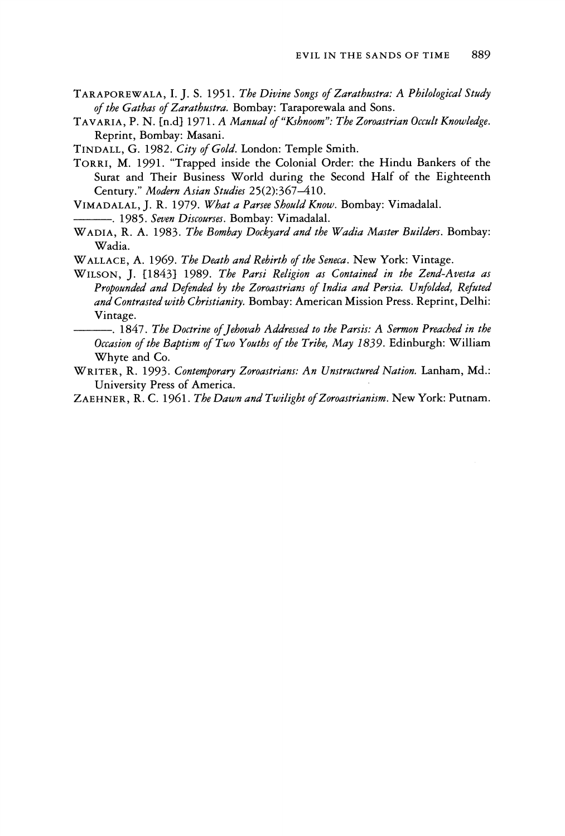- TARAPOREWALA, I. J. S. 195 1. *The Divine Songs of Zarathustra: A Philological Study of the Gathas of Zarathwtra.* Bombay: Taraporewala and Sons.
- TAVARIA,P. N. [n.d} 1971. *A Manual of "fibnoom": The Zoroastrian Occult Knowledge.*  Reprint, Bombay: Masani.
- TINDALL,G. 1982. *City of Gold.* London: Temple Smith.
- TORRI, M. 1991. "Trapped inside the Colonial Order: the Hindu Bankers of the Surat and Their Business World during the Second Half of the Eighteenth Century." *Modern Asian Studies* 25(2):367-410.
- VIMADALAL, J. R. 1979. *What a Parsee Should Know.* Bombay: Vimadalal.
- . 1985. *Seven Discourses.* Bombay: Vimadalal.
- WADIA, R. A. 1983. *The Bombay Dockyard and the Wadia Master Builders.* Bombay: Wadia.
- WALLACE, A. 1969. *The Death and Rebirth of the Seneca*. New York: Vintage.
- WILSON,J. [I8431 1989. *The Parsi Religion as Contained in the Zend-Avesta as*  Propounded and Defended by the Zoroastrians of India and Persia. Unfolded, Refuted *and Contrasted with Christianity.* Bombay: American Mission Press. Reprint, Delhi: Vintage.
	- -. 1847. *The Doctrine of Jehovah Addressed to the Parsis: A Sermon Preached in the Occasion of the Baptism of Two Youths of the Tribe, May 1839.* Edinburgh: William Whyte and Co.
- WRITER, R. 1993. *Contemporary Zoroastrians: An Unstructured Nation.* Lanham, Md. : University Press of America.
- ZAEHNER,R. C. 1961. *The Dawn and Twilight of Zoroastrianism.* New York: Putnam.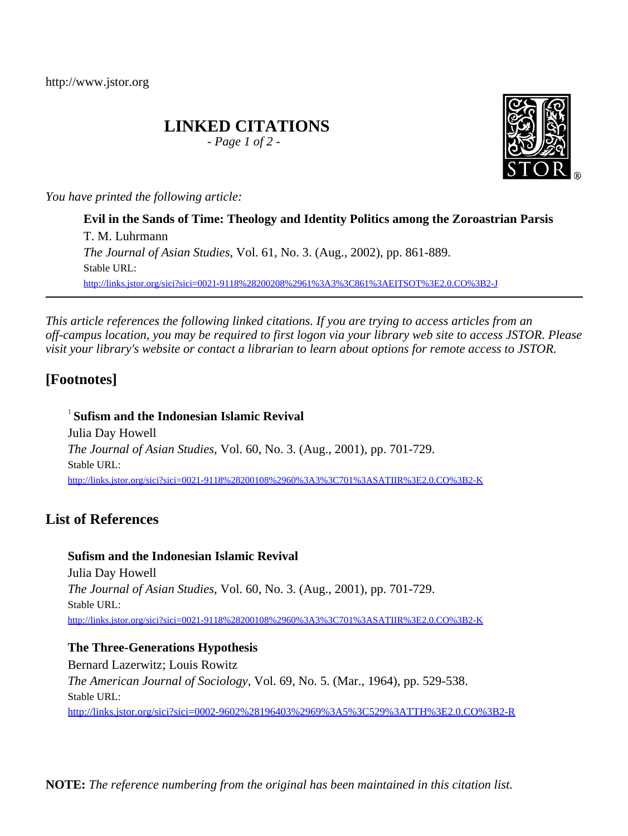http://www.jstor.org

# **LINKED CITATIONS**

*- Page 1 of 2 -*



*You have printed the following article:*

**Evil in the Sands of Time: Theology and Identity Politics among the Zoroastrian Parsis** T. M. Luhrmann *The Journal of Asian Studies*, Vol. 61, No. 3. (Aug., 2002), pp. 861-889. Stable URL: [http://links.jstor.org/sici?sici=0021-9118%28200208%2961%3A3%3C861%3AEITSOT%3E2.0.CO%3B2-J](http://links.jstor.org/sici?sici=0021-9118%28200208%2961%3A3%3C861%3AEITSOT%3E2.0.CO%3B2-J&origin=JSTOR-pdf)

*This article references the following linked citations. If you are trying to access articles from an off-campus location, you may be required to first logon via your library web site to access JSTOR. Please visit your library's website or contact a librarian to learn about options for remote access to JSTOR.*

# **[Footnotes]**

**1 Sufism and the Indonesian Islamic Revival** Julia Day Howell *The Journal of Asian Studies*, Vol. 60, No. 3. (Aug., 2001), pp. 701-729. Stable URL: [http://links.jstor.org/sici?sici=0021-9118%28200108%2960%3A3%3C701%3ASATIIR%3E2.0.CO%3B2-K](http://links.jstor.org/sici?sici=0021-9118%28200108%2960%3A3%3C701%3ASATIIR%3E2.0.CO%3B2-K&origin=JSTOR-pdf)

# **List of References**

**Sufism and the Indonesian Islamic Revival** Julia Day Howell *The Journal of Asian Studies*, Vol. 60, No. 3. (Aug., 2001), pp. 701-729. Stable URL: [http://links.jstor.org/sici?sici=0021-9118%28200108%2960%3A3%3C701%3ASATIIR%3E2.0.CO%3B2-K](http://links.jstor.org/sici?sici=0021-9118%28200108%2960%3A3%3C701%3ASATIIR%3E2.0.CO%3B2-K&origin=JSTOR-pdf)

## **The Three-Generations Hypothesis**

Bernard Lazerwitz; Louis Rowitz *The American Journal of Sociology*, Vol. 69, No. 5. (Mar., 1964), pp. 529-538. Stable URL: [http://links.jstor.org/sici?sici=0002-9602%28196403%2969%3A5%3C529%3ATTH%3E2.0.CO%3B2-R](http://links.jstor.org/sici?sici=0002-9602%28196403%2969%3A5%3C529%3ATTH%3E2.0.CO%3B2-R&origin=JSTOR-pdf)